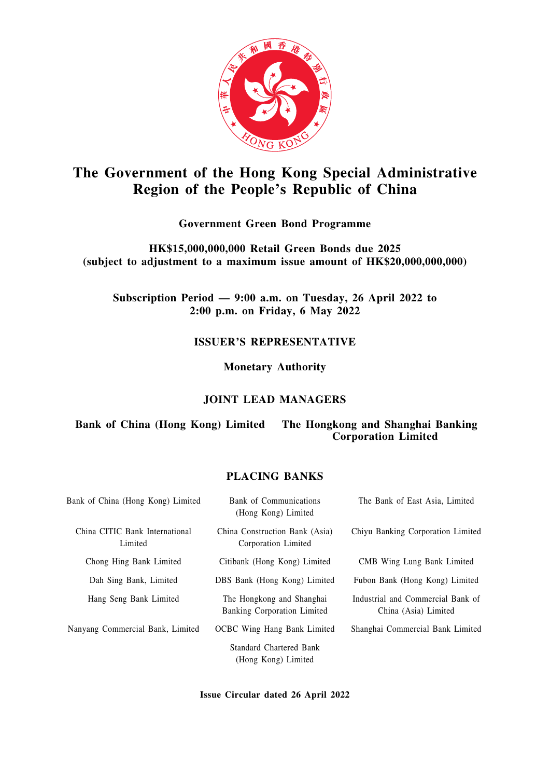

# **The Government of the Hong Kong Special Administrative Region of the People's Republic of China**

## **Government Green Bond Programme**

**HK\$15,000,000,000 Retail Green Bonds due 2025 (subject to adjustment to a maximum issue amount of HK\$20,000,000,000)**

**Subscription Period — 9:00 a.m. on Tuesday, 26 April 2022 to 2:00 p.m. on Friday, 6 May 2022**

## **ISSUER'S REPRESENTATIVE**

**Monetary Authority**

## **JOINT LEAD MANAGERS**

## **Bank of China (Hong Kong) Limited The Hongkong and Shanghai Banking Corporation Limited**

## **PLACING BANKS**

| Bank of China (Hong Kong) Limited         | Bank of Communications<br>(Hong Kong) Limited            | The Bank of East Asia, Limited                            |
|-------------------------------------------|----------------------------------------------------------|-----------------------------------------------------------|
| China CITIC Bank International<br>Limited | China Construction Bank (Asia)<br>Corporation Limited    | Chiyu Banking Corporation Limited                         |
| Chong Hing Bank Limited                   | Citibank (Hong Kong) Limited                             | CMB Wing Lung Bank Limited                                |
| Dah Sing Bank, Limited                    | DBS Bank (Hong Kong) Limited                             | Fubon Bank (Hong Kong) Limited                            |
| Hang Seng Bank Limited                    | The Hongkong and Shanghai<br>Banking Corporation Limited | Industrial and Commercial Bank of<br>China (Asia) Limited |
| Nanyang Commercial Bank, Limited          | <b>OCBC</b> Wing Hang Bank Limited                       | Shanghai Commercial Bank Limited                          |
|                                           | <b>Standard Chartered Bank</b><br>(Hong Kong) Limited    |                                                           |

**Issue Circular dated 26 April 2022**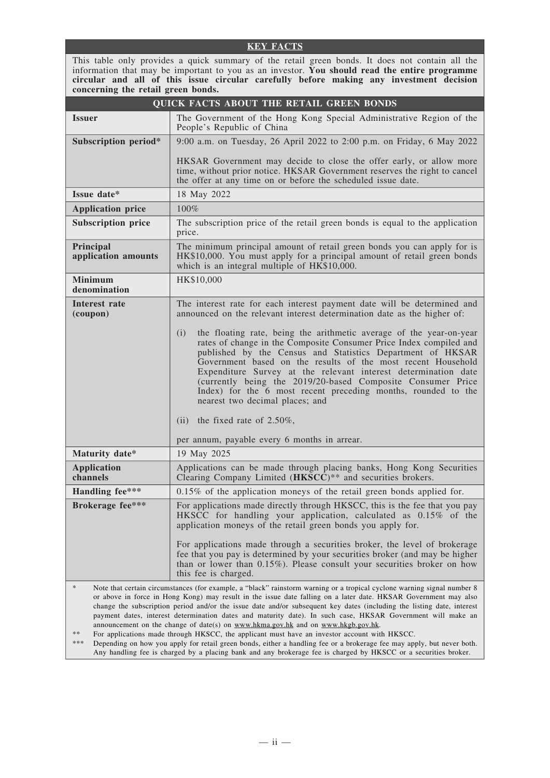#### **KEY FACTS**

This table only provides a quick summary of the retail green bonds. It does not contain all the information that may be important to you as an investor. **You should read the entire programme circular and all of this issue circular carefully before making any investment decision concerning the retail green bonds.**

| <b>QUICK FACTS ABOUT THE RETAIL GREEN BONDS</b>                                                                                                                                                                                                                                                                                                                                                                                                                                                                                                                                                                                                                                         |                                                                                                                                                                                                                                                                                                                                                                                                                                                                                                                                                          |  |
|-----------------------------------------------------------------------------------------------------------------------------------------------------------------------------------------------------------------------------------------------------------------------------------------------------------------------------------------------------------------------------------------------------------------------------------------------------------------------------------------------------------------------------------------------------------------------------------------------------------------------------------------------------------------------------------------|----------------------------------------------------------------------------------------------------------------------------------------------------------------------------------------------------------------------------------------------------------------------------------------------------------------------------------------------------------------------------------------------------------------------------------------------------------------------------------------------------------------------------------------------------------|--|
| <i><u><b>Issuer</b></u></i>                                                                                                                                                                                                                                                                                                                                                                                                                                                                                                                                                                                                                                                             | The Government of the Hong Kong Special Administrative Region of the<br>People's Republic of China                                                                                                                                                                                                                                                                                                                                                                                                                                                       |  |
| Subscription period*                                                                                                                                                                                                                                                                                                                                                                                                                                                                                                                                                                                                                                                                    | 9:00 a.m. on Tuesday, 26 April 2022 to 2:00 p.m. on Friday, 6 May 2022                                                                                                                                                                                                                                                                                                                                                                                                                                                                                   |  |
|                                                                                                                                                                                                                                                                                                                                                                                                                                                                                                                                                                                                                                                                                         | HKSAR Government may decide to close the offer early, or allow more                                                                                                                                                                                                                                                                                                                                                                                                                                                                                      |  |
|                                                                                                                                                                                                                                                                                                                                                                                                                                                                                                                                                                                                                                                                                         | time, without prior notice. HKSAR Government reserves the right to cancel<br>the offer at any time on or before the scheduled issue date.                                                                                                                                                                                                                                                                                                                                                                                                                |  |
| Issue date*                                                                                                                                                                                                                                                                                                                                                                                                                                                                                                                                                                                                                                                                             | 18 May 2022                                                                                                                                                                                                                                                                                                                                                                                                                                                                                                                                              |  |
| <b>Application price</b>                                                                                                                                                                                                                                                                                                                                                                                                                                                                                                                                                                                                                                                                | $100\%$                                                                                                                                                                                                                                                                                                                                                                                                                                                                                                                                                  |  |
| <b>Subscription price</b>                                                                                                                                                                                                                                                                                                                                                                                                                                                                                                                                                                                                                                                               | The subscription price of the retail green bonds is equal to the application<br>price.                                                                                                                                                                                                                                                                                                                                                                                                                                                                   |  |
| Principal<br>application amounts                                                                                                                                                                                                                                                                                                                                                                                                                                                                                                                                                                                                                                                        | The minimum principal amount of retail green bonds you can apply for is<br>HK\$10,000. You must apply for a principal amount of retail green bonds<br>which is an integral multiple of HK\$10,000.                                                                                                                                                                                                                                                                                                                                                       |  |
| <b>Minimum</b><br>denomination                                                                                                                                                                                                                                                                                                                                                                                                                                                                                                                                                                                                                                                          | HK\$10,000                                                                                                                                                                                                                                                                                                                                                                                                                                                                                                                                               |  |
| Interest rate<br>(coupon)                                                                                                                                                                                                                                                                                                                                                                                                                                                                                                                                                                                                                                                               | The interest rate for each interest payment date will be determined and<br>announced on the relevant interest determination date as the higher of:                                                                                                                                                                                                                                                                                                                                                                                                       |  |
|                                                                                                                                                                                                                                                                                                                                                                                                                                                                                                                                                                                                                                                                                         | the floating rate, being the arithmetic average of the year-on-year<br>(i)<br>rates of change in the Composite Consumer Price Index compiled and<br>published by the Census and Statistics Department of HKSAR<br>Government based on the results of the most recent Household<br>Expenditure Survey at the relevant interest determination date<br>(currently being the 2019/20-based Composite Consumer Price<br>Index) for the 6 most recent preceding months, rounded to the<br>nearest two decimal places; and<br>(ii) the fixed rate of $2.50\%$ , |  |
| per annum, payable every 6 months in arrear.                                                                                                                                                                                                                                                                                                                                                                                                                                                                                                                                                                                                                                            |                                                                                                                                                                                                                                                                                                                                                                                                                                                                                                                                                          |  |
| Maturity date*                                                                                                                                                                                                                                                                                                                                                                                                                                                                                                                                                                                                                                                                          | 19 May 2025                                                                                                                                                                                                                                                                                                                                                                                                                                                                                                                                              |  |
| <b>Application</b><br>channels                                                                                                                                                                                                                                                                                                                                                                                                                                                                                                                                                                                                                                                          | Applications can be made through placing banks, Hong Kong Securities<br>Clearing Company Limited (HKSCC)** and securities brokers.                                                                                                                                                                                                                                                                                                                                                                                                                       |  |
| Handling fee***                                                                                                                                                                                                                                                                                                                                                                                                                                                                                                                                                                                                                                                                         | $0.15\%$ of the application moneys of the retail green bonds applied for.                                                                                                                                                                                                                                                                                                                                                                                                                                                                                |  |
| <b>Brokerage fee***</b>                                                                                                                                                                                                                                                                                                                                                                                                                                                                                                                                                                                                                                                                 | For applications made directly through HKSCC, this is the fee that you pay<br>HKSCC for handling your application, calculated as 0.15% of the<br>application moneys of the retail green bonds you apply for.<br>For applications made through a securities broker, the level of brokerage<br>fee that you pay is determined by your securities broker (and may be higher<br>than or lower than $0.15\%$ ). Please consult your securities broker on how<br>this fee is charged.                                                                          |  |
| $\ast$<br>Note that certain circumstances (for example, a "black" rainstorm warning or a tropical cyclone warning signal number 8<br>or above in force in Hong Kong) may result in the issue date falling on a later date. HKSAR Government may also<br>change the subscription period and/or the issue date and/or subsequent key dates (including the listing date, interest<br>payment dates, interest determination dates and maturity date). In such case, HKSAR Government will make an<br>announcement on the change of date(s) on www.hkma.gov.hk and on www.hkgb.gov.hk.<br>**<br>For applications made through HKSCC, the applicant must have an investor account with HKSCC. |                                                                                                                                                                                                                                                                                                                                                                                                                                                                                                                                                          |  |

\*\*\* Depending on how you apply for retail green bonds, either a handling fee or a brokerage fee may apply, but never both. Any handling fee is charged by a placing bank and any brokerage fee is charged by HKSCC or a securities broker.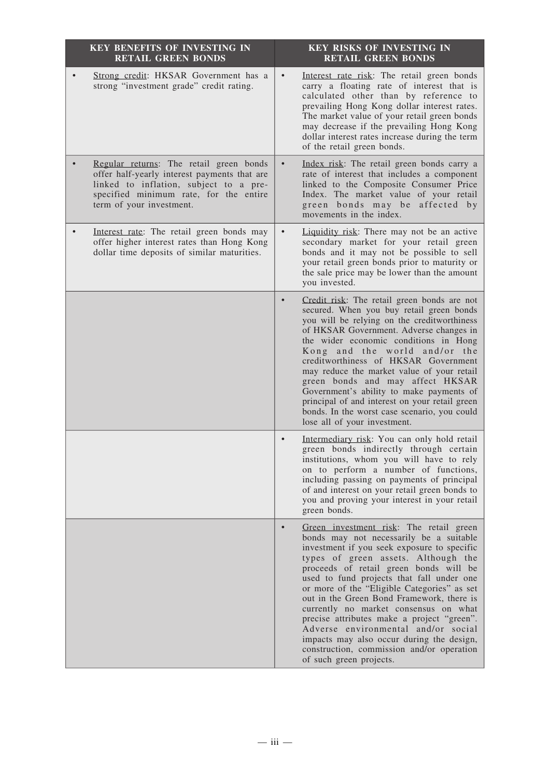| <b>KEY BENEFITS OF INVESTING IN</b><br><b>RETAIL GREEN BONDS</b>                                                                                                                                        | <b>KEY RISKS OF INVESTING IN</b><br><b>RETAIL GREEN BONDS</b>                                                                                                                                                                                                                                                                                                                                                                                                                                                                                                                                                               |
|---------------------------------------------------------------------------------------------------------------------------------------------------------------------------------------------------------|-----------------------------------------------------------------------------------------------------------------------------------------------------------------------------------------------------------------------------------------------------------------------------------------------------------------------------------------------------------------------------------------------------------------------------------------------------------------------------------------------------------------------------------------------------------------------------------------------------------------------------|
| Strong credit: HKSAR Government has a<br>strong "investment grade" credit rating.                                                                                                                       | Interest rate risk: The retail green bonds<br>$\bullet$<br>carry a floating rate of interest that is<br>calculated other than by reference to<br>prevailing Hong Kong dollar interest rates.<br>The market value of your retail green bonds<br>may decrease if the prevailing Hong Kong<br>dollar interest rates increase during the term<br>of the retail green bonds.                                                                                                                                                                                                                                                     |
| Regular returns: The retail green bonds<br>offer half-yearly interest payments that are<br>linked to inflation, subject to a pre-<br>specified minimum rate, for the entire<br>term of your investment. | Index risk: The retail green bonds carry a<br>rate of interest that includes a component<br>linked to the Composite Consumer Price<br>Index. The market value of your retail<br>green bonds may be affected by<br>movements in the index.                                                                                                                                                                                                                                                                                                                                                                                   |
| Interest rate: The retail green bonds may<br>offer higher interest rates than Hong Kong<br>dollar time deposits of similar maturities.                                                                  | Liquidity risk: There may not be an active<br>secondary market for your retail green<br>bonds and it may not be possible to sell<br>your retail green bonds prior to maturity or<br>the sale price may be lower than the amount<br>you invested.                                                                                                                                                                                                                                                                                                                                                                            |
|                                                                                                                                                                                                         | Credit risk: The retail green bonds are not<br>secured. When you buy retail green bonds<br>you will be relying on the creditworthiness<br>of HKSAR Government. Adverse changes in<br>the wider economic conditions in Hong<br>Kong and the world and/or the<br>creditworthiness of HKSAR Government<br>may reduce the market value of your retail<br>green bonds and may affect HKSAR<br>Government's ability to make payments of<br>principal of and interest on your retail green<br>bonds. In the worst case scenario, you could<br>lose all of your investment.                                                         |
|                                                                                                                                                                                                         | Intermediary risk: You can only hold retail<br>$\bullet$<br>green bonds indirectly through certain<br>institutions, whom you will have to rely<br>on to perform a number of functions,<br>including passing on payments of principal<br>of and interest on your retail green bonds to<br>you and proving your interest in your retail<br>green bonds.                                                                                                                                                                                                                                                                       |
|                                                                                                                                                                                                         | Green investment risk: The retail green<br>$\bullet$<br>bonds may not necessarily be a suitable<br>investment if you seek exposure to specific<br>types of green assets. Although the<br>proceeds of retail green bonds will be<br>used to fund projects that fall under one<br>or more of the "Eligible Categories" as set<br>out in the Green Bond Framework, there is<br>currently no market consensus on what<br>precise attributes make a project "green".<br>Adverse environmental and/or social<br>impacts may also occur during the design,<br>construction, commission and/or operation<br>of such green projects. |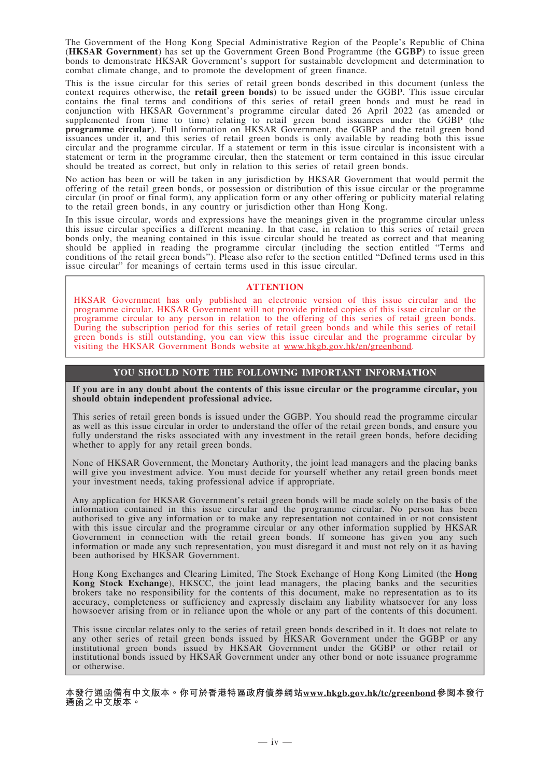The Government of the Hong Kong Special Administrative Region of the People's Republic of China (**HKSAR Government**) has set up the Government Green Bond Programme (the **GGBP**) to issue green bonds to demonstrate HKSAR Government's support for sustainable development and determination to combat climate change, and to promote the development of green finance.

This is the issue circular for this series of retail green bonds described in this document (unless the context requires otherwise, the **retail green bonds**) to be issued under the GGBP. This issue circular contains the final terms and conditions of this series of retail green bonds and must be read in conjunction with HKSAR Government's programme circular dated 26 April 2022 (as amended or supplemented from time to time) relating to retail green bond issuances under the GGBP (the **programme circular**). Full information on HKSAR Government, the GGBP and the retail green bond issuances under it, and this series of retail green bonds is only available by reading both this issue circular and the programme circular. If a statement or term in this issue circular is inconsistent with a statement or term in the programme circular, then the statement or term contained in this issue circular should be treated as correct, but only in relation to this series of retail green bonds.

No action has been or will be taken in any jurisdiction by HKSAR Government that would permit the offering of the retail green bonds, or possession or distribution of this issue circular or the programme circular (in proof or final form), any application form or any other offering or publicity material relating to the retail green bonds, in any country or jurisdiction other than Hong Kong.

In this issue circular, words and expressions have the meanings given in the programme circular unless this issue circular specifies a different meaning. In that case, in relation to this series of retail green bonds only, the meaning contained in this issue circular should be treated as correct and that meaning should be applied in reading the programme circular (including the section entitled "Terms and conditions of the retail green bonds"). Please also refer to the section entitled "Defined terms used in this issue circular" for meanings of certain terms used in this issue circular.

#### **ATTENTION**

HKSAR Government has only published an electronic version of this issue circular and the programme circular. HKSAR Government will not provide printed copies of this issue circular or the programme circular to any person in relation to the offering of this series of retail green bonds. During the subscription period for this series of retail green bonds and while this series of retail green bonds is still outstanding, you can view this issue circular and the programme circular by visiting the HKSAR Government Bonds website at www.hkgb.gov.hk/en/greenbond.

#### **YOU SHOULD NOTE THE FOLLOWING IMPORTANT INFORMATION**

**If you are in any doubt about the contents of this issue circular or the programme circular, you should obtain independent professional advice.**

This series of retail green bonds is issued under the GGBP. You should read the programme circular as well as this issue circular in order to understand the offer of the retail green bonds, and ensure you fully understand the risks associated with any investment in the retail green bonds, before deciding whether to apply for any retail green bonds.

None of HKSAR Government, the Monetary Authority, the joint lead managers and the placing banks will give you investment advice. You must decide for yourself whether any retail green bonds meet your investment needs, taking professional advice if appropriate.

Any application for HKSAR Government's retail green bonds will be made solely on the basis of the information contained in this issue circular and the programme circular. No person has been authorised to give any information or to make any representation not contained in or not consistent with this issue circular and the programme circular or any other information supplied by HKSAR Government in connection with the retail green bonds. If someone has given you any such information or made any such representation, you must disregard it and must not rely on it as having been authorised by HKSAR Government.

Hong Kong Exchanges and Clearing Limited, The Stock Exchange of Hong Kong Limited (the **Hong Kong Stock Exchange**), HKSCC, the joint lead managers, the placing banks and the securities brokers take no responsibility for the contents of this document, make no representation as to its accuracy, completeness or sufficiency and expressly disclaim any liability whatsoever for any loss howsoever arising from or in reliance upon the whole or any part of the contents of this document.

This issue circular relates only to the series of retail green bonds described in it. It does not relate to any other series of retail green bonds issued by HKSAR Government under the GGBP or any institutional green bonds issued by HKSAR Government under the GGBP or other retail or institutional bonds issued by HKSAR Government under any other bond or note issuance programme or otherwise.

**本發行通函備有中文版本。你可於香港特區政府債券網站www.hkgb.gov.hk/tc/greenbond參閱本發行 通函之中文版本。**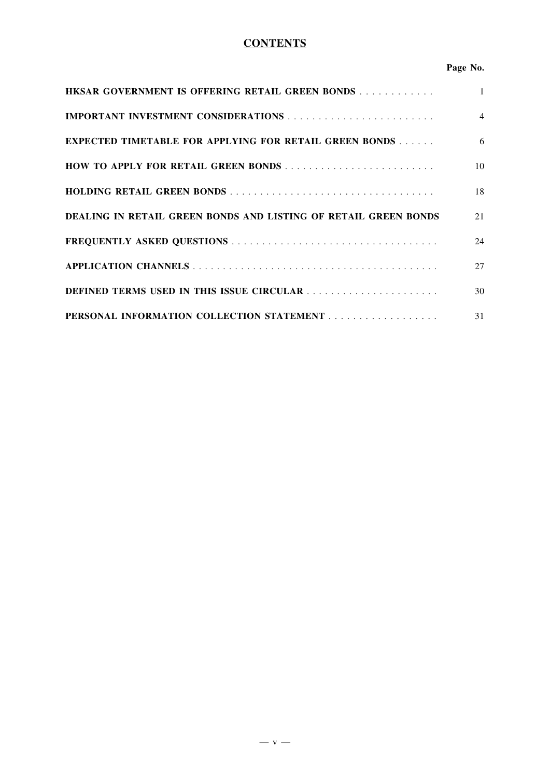## **CONTENTS**

## **Page No.**

| <b>HKSAR GOVERNMENT IS OFFERING RETAIL GREEN BONDS</b>          | $\mathbf{1}$   |
|-----------------------------------------------------------------|----------------|
|                                                                 | $\overline{4}$ |
| <b>EXPECTED TIMETABLE FOR APPLYING FOR RETAIL GREEN BONDS</b>   | 6              |
| HOW TO APPLY FOR RETAIL GREEN BONDS                             | 10             |
|                                                                 | 18             |
| DEALING IN RETAIL GREEN BONDS AND LISTING OF RETAIL GREEN BONDS | 21             |
|                                                                 | 24             |
|                                                                 | 27             |
| DEFINED TERMS USED IN THIS ISSUE CIRCULAR                       | 30             |
|                                                                 | 31             |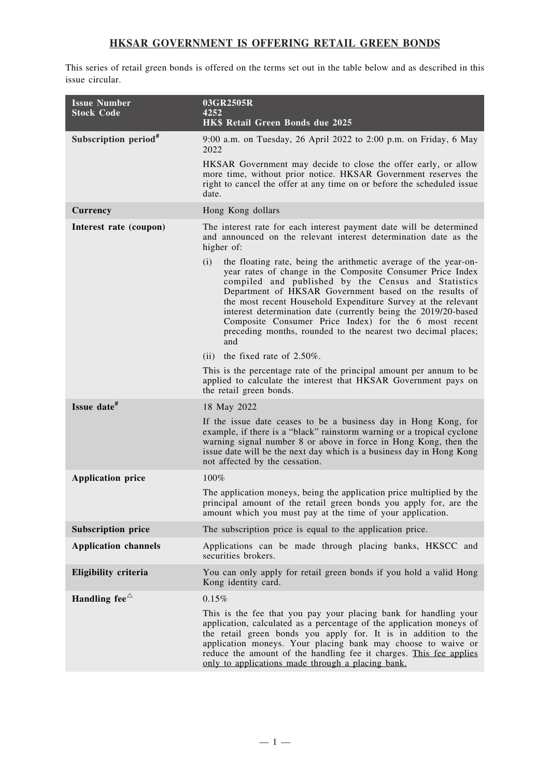## **HKSAR GOVERNMENT IS OFFERING RETAIL GREEN BONDS**

This series of retail green bonds is offered on the terms set out in the table below and as described in this issue circular.

| <b>Issue Number</b>              |                                                                                                                                                                                                                                                                                                                                                                                                                                                                                                                         |
|----------------------------------|-------------------------------------------------------------------------------------------------------------------------------------------------------------------------------------------------------------------------------------------------------------------------------------------------------------------------------------------------------------------------------------------------------------------------------------------------------------------------------------------------------------------------|
| <b>Stock Code</b>                | 03GR2505R<br>4252<br>HK\$ Retail Green Bonds due 2025                                                                                                                                                                                                                                                                                                                                                                                                                                                                   |
| Subscription period <sup>#</sup> | 9:00 a.m. on Tuesday, 26 April 2022 to 2:00 p.m. on Friday, 6 May<br>2022                                                                                                                                                                                                                                                                                                                                                                                                                                               |
|                                  | HKSAR Government may decide to close the offer early, or allow<br>more time, without prior notice. HKSAR Government reserves the<br>right to cancel the offer at any time on or before the scheduled issue<br>date.                                                                                                                                                                                                                                                                                                     |
| Currency                         | Hong Kong dollars                                                                                                                                                                                                                                                                                                                                                                                                                                                                                                       |
| Interest rate (coupon)           | The interest rate for each interest payment date will be determined<br>and announced on the relevant interest determination date as the<br>higher of:                                                                                                                                                                                                                                                                                                                                                                   |
|                                  | the floating rate, being the arithmetic average of the year-on-<br>(i)<br>year rates of change in the Composite Consumer Price Index<br>compiled and published by the Census and Statistics<br>Department of HKSAR Government based on the results of<br>the most recent Household Expenditure Survey at the relevant<br>interest determination date (currently being the 2019/20-based<br>Composite Consumer Price Index) for the 6 most recent<br>preceding months, rounded to the nearest two decimal places;<br>and |
|                                  | the fixed rate of $2.50\%$ .<br>(ii)                                                                                                                                                                                                                                                                                                                                                                                                                                                                                    |
|                                  | This is the percentage rate of the principal amount per annum to be<br>applied to calculate the interest that HKSAR Government pays on<br>the retail green bonds.                                                                                                                                                                                                                                                                                                                                                       |
| Issue date <sup>#</sup>          | 18 May 2022                                                                                                                                                                                                                                                                                                                                                                                                                                                                                                             |
|                                  | If the issue date ceases to be a business day in Hong Kong, for<br>example, if there is a "black" rainstorm warning or a tropical cyclone<br>warning signal number 8 or above in force in Hong Kong, then the<br>issue date will be the next day which is a business day in Hong Kong<br>not affected by the cessation.                                                                                                                                                                                                 |
| <b>Application price</b>         | 100%                                                                                                                                                                                                                                                                                                                                                                                                                                                                                                                    |
|                                  | The application moneys, being the application price multiplied by the<br>principal amount of the retail green bonds you apply for, are the<br>amount which you must pay at the time of your application.                                                                                                                                                                                                                                                                                                                |
| <b>Subscription price</b>        | The subscription price is equal to the application price.                                                                                                                                                                                                                                                                                                                                                                                                                                                               |
| <b>Application channels</b>      | Applications can be made through placing banks, HKSCC and<br>securities brokers.                                                                                                                                                                                                                                                                                                                                                                                                                                        |
| Eligibility criteria             | You can only apply for retail green bonds if you hold a valid Hong<br>Kong identity card.                                                                                                                                                                                                                                                                                                                                                                                                                               |
| Handling fee $\triangle$         | 0.15%                                                                                                                                                                                                                                                                                                                                                                                                                                                                                                                   |
|                                  | This is the fee that you pay your placing bank for handling your<br>application, calculated as a percentage of the application moneys of<br>the retail green bonds you apply for. It is in addition to the<br>application moneys. Your placing bank may choose to waive or<br>reduce the amount of the handling fee it charges. This fee applies<br>only to applications made through a placing bank.                                                                                                                   |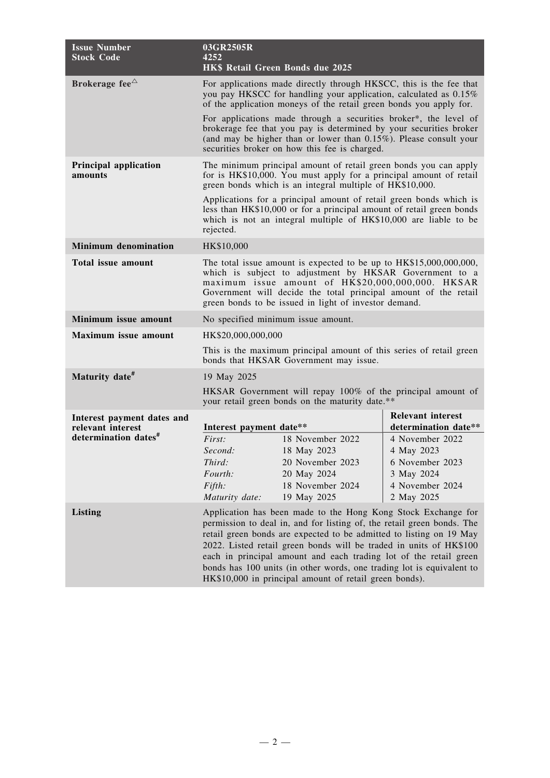| <b>Issue Number</b><br><b>Stock Code</b>        | 03GR2505R<br>4252                                                                                                                                                                                                                                                                                                                                                                                                                                                                            | <b>HK\$ Retail Green Bonds due 2025</b>                                                                                                                                                                                                                          |                                                  |
|-------------------------------------------------|----------------------------------------------------------------------------------------------------------------------------------------------------------------------------------------------------------------------------------------------------------------------------------------------------------------------------------------------------------------------------------------------------------------------------------------------------------------------------------------------|------------------------------------------------------------------------------------------------------------------------------------------------------------------------------------------------------------------------------------------------------------------|--------------------------------------------------|
| Brokerage fee $\triangle$                       | For applications made directly through HKSCC, this is the fee that<br>you pay HKSCC for handling your application, calculated as 0.15%<br>of the application moneys of the retail green bonds you apply for.                                                                                                                                                                                                                                                                                 |                                                                                                                                                                                                                                                                  |                                                  |
|                                                 |                                                                                                                                                                                                                                                                                                                                                                                                                                                                                              | For applications made through a securities broker*, the level of<br>brokerage fee that you pay is determined by your securities broker<br>(and may be higher than or lower than $0.15\%$ ). Please consult your<br>securities broker on how this fee is charged. |                                                  |
| Principal application<br>amounts                | The minimum principal amount of retail green bonds you can apply<br>for is HK\$10,000. You must apply for a principal amount of retail<br>green bonds which is an integral multiple of HK\$10,000.                                                                                                                                                                                                                                                                                           |                                                                                                                                                                                                                                                                  |                                                  |
|                                                 | rejected.                                                                                                                                                                                                                                                                                                                                                                                                                                                                                    | Applications for a principal amount of retail green bonds which is<br>less than HK\$10,000 or for a principal amount of retail green bonds<br>which is not an integral multiple of HK\$10,000 are liable to be                                                   |                                                  |
| <b>Minimum denomination</b>                     | HK\$10,000                                                                                                                                                                                                                                                                                                                                                                                                                                                                                   |                                                                                                                                                                                                                                                                  |                                                  |
| <b>Total issue amount</b>                       | The total issue amount is expected to be up to HK\$15,000,000,000,<br>which is subject to adjustment by HKSAR Government to a<br>maximum issue amount of HK\$20,000,000,000. HKSAR<br>Government will decide the total principal amount of the retail<br>green bonds to be issued in light of investor demand.                                                                                                                                                                               |                                                                                                                                                                                                                                                                  |                                                  |
| Minimum issue amount                            | No specified minimum issue amount.                                                                                                                                                                                                                                                                                                                                                                                                                                                           |                                                                                                                                                                                                                                                                  |                                                  |
| <b>Maximum</b> issue amount                     | HK\$20,000,000,000                                                                                                                                                                                                                                                                                                                                                                                                                                                                           |                                                                                                                                                                                                                                                                  |                                                  |
|                                                 | This is the maximum principal amount of this series of retail green<br>bonds that HKSAR Government may issue.                                                                                                                                                                                                                                                                                                                                                                                |                                                                                                                                                                                                                                                                  |                                                  |
| Maturity date <sup>#</sup>                      | 19 May 2025                                                                                                                                                                                                                                                                                                                                                                                                                                                                                  |                                                                                                                                                                                                                                                                  |                                                  |
|                                                 | HKSAR Government will repay 100% of the principal amount of<br>your retail green bonds on the maturity date.**                                                                                                                                                                                                                                                                                                                                                                               |                                                                                                                                                                                                                                                                  |                                                  |
| Interest payment dates and<br>relevant interest | Interest payment date**                                                                                                                                                                                                                                                                                                                                                                                                                                                                      |                                                                                                                                                                                                                                                                  | <b>Relevant interest</b><br>determination date** |
| determination dates <sup>#</sup>                | First:<br>Second:<br>Third:                                                                                                                                                                                                                                                                                                                                                                                                                                                                  | 18 November 2022<br>18 May 2023<br>20 November 2023                                                                                                                                                                                                              | 4 November 2022<br>4 May 2023<br>6 November 2023 |
|                                                 | Fourth:                                                                                                                                                                                                                                                                                                                                                                                                                                                                                      | 20 May 2024                                                                                                                                                                                                                                                      | 3 May 2024                                       |
|                                                 | Fifth:<br>Maturity date:                                                                                                                                                                                                                                                                                                                                                                                                                                                                     | 18 November 2024<br>19 May 2025                                                                                                                                                                                                                                  | 4 November 2024<br>2 May 2025                    |
| <b>Listing</b>                                  | Application has been made to the Hong Kong Stock Exchange for<br>permission to deal in, and for listing of, the retail green bonds. The<br>retail green bonds are expected to be admitted to listing on 19 May<br>2022. Listed retail green bonds will be traded in units of HK\$100<br>each in principal amount and each trading lot of the retail green<br>bonds has 100 units (in other words, one trading lot is equivalent to<br>HK\$10,000 in principal amount of retail green bonds). |                                                                                                                                                                                                                                                                  |                                                  |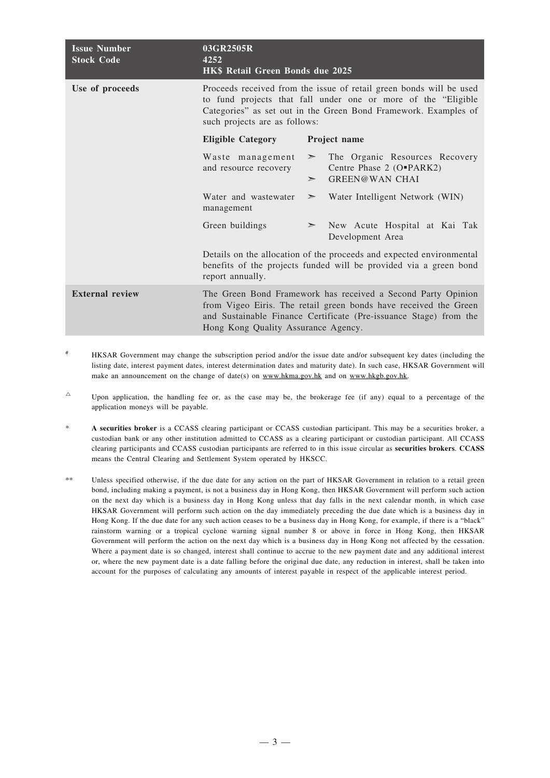| <b>Issue Number</b><br><b>Stock Code</b> | 03GR2505R<br>4252<br>HK\$ Retail Green Bonds due 2025                                                                                                                                                                                    |                                                                                                                                                                                                       |
|------------------------------------------|------------------------------------------------------------------------------------------------------------------------------------------------------------------------------------------------------------------------------------------|-------------------------------------------------------------------------------------------------------------------------------------------------------------------------------------------------------|
| Use of proceeds                          | Proceeds received from the issue of retail green bonds will be used<br>to fund projects that fall under one or more of the "Eligible<br>Categories" as set out in the Green Bond Framework. Examples of<br>such projects are as follows: |                                                                                                                                                                                                       |
|                                          | <b>Eligible Category</b>                                                                                                                                                                                                                 | Project name                                                                                                                                                                                          |
|                                          | Waste management<br>and resource recovery                                                                                                                                                                                                | The Organic Resources Recovery<br>$\geq$<br>Centre Phase 2 (O"PARK2)<br><b>GREEN@WAN CHAI</b><br>$\geq$                                                                                               |
|                                          | Water and wastewater<br>management                                                                                                                                                                                                       | Water Intelligent Network (WIN)<br>$\geq$                                                                                                                                                             |
|                                          | Green buildings                                                                                                                                                                                                                          | $\geq$ New Acute Hospital at Kai Tak<br>Development Area                                                                                                                                              |
|                                          | report annually.                                                                                                                                                                                                                         | Details on the allocation of the proceeds and expected environmental<br>benefits of the projects funded will be provided via a green bond                                                             |
| <b>External review</b>                   | Hong Kong Quality Assurance Agency.                                                                                                                                                                                                      | The Green Bond Framework has received a Second Party Opinion<br>from Vigeo Eiris. The retail green bonds have received the Green<br>and Sustainable Finance Certificate (Pre-issuance Stage) from the |
|                                          |                                                                                                                                                                                                                                          |                                                                                                                                                                                                       |

- HKSAR Government may change the subscription period and/or the issue date and/or subsequent key dates (including the listing date, interest payment dates, interest determination dates and maturity date). In such case, HKSAR Government will make an announcement on the change of date(s) on www.hkma.gov.hk and on www.hkgb.gov.hk.
- $\sim$  Upon application, the handling fee or, as the case may be, the brokerage fee (if any) equal to a percentage of the application moneys will be payable.
- \* **A securities broker** is a CCASS clearing participant or CCASS custodian participant. This may be a securities broker, a custodian bank or any other institution admitted to CCASS as a clearing participant or custodian participant. All CCASS clearing participants and CCASS custodian participants are referred to in this issue circular as **securities brokers**. **CCASS** means the Central Clearing and Settlement System operated by HKSCC.
- \*\* Unless specified otherwise, if the due date for any action on the part of HKSAR Government in relation to a retail green bond, including making a payment, is not a business day in Hong Kong, then HKSAR Government will perform such action on the next day which is a business day in Hong Kong unless that day falls in the next calendar month, in which case HKSAR Government will perform such action on the day immediately preceding the due date which is a business day in Hong Kong. If the due date for any such action ceases to be a business day in Hong Kong, for example, if there is a "black" rainstorm warning or a tropical cyclone warning signal number 8 or above in force in Hong Kong, then HKSAR Government will perform the action on the next day which is a business day in Hong Kong not affected by the cessation. Where a payment date is so changed, interest shall continue to accrue to the new payment date and any additional interest or, where the new payment date is a date falling before the original due date, any reduction in interest, shall be taken into account for the purposes of calculating any amounts of interest payable in respect of the applicable interest period.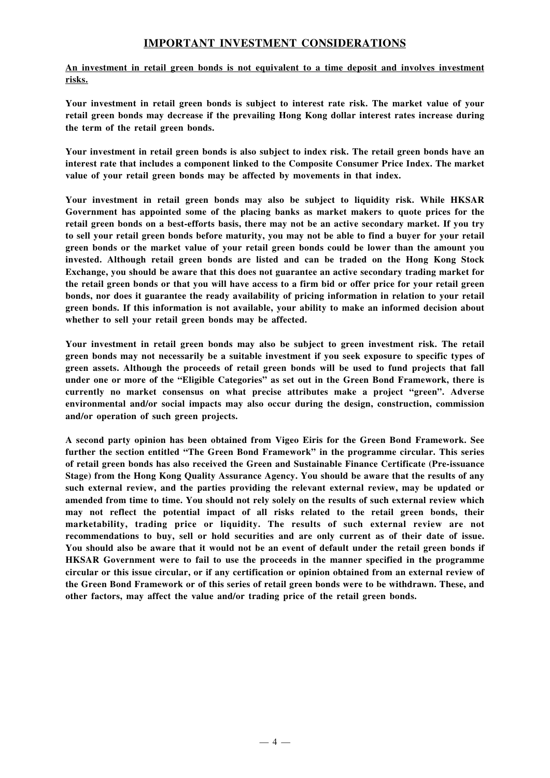## **IMPORTANT INVESTMENT CONSIDERATIONS**

**An investment in retail green bonds is not equivalent to a time deposit and involves investment risks.**

**Your investment in retail green bonds is subject to interest rate risk. The market value of your retail green bonds may decrease if the prevailing Hong Kong dollar interest rates increase during the term of the retail green bonds.**

Your investment in retail green bonds is also subject to index risk. The retail green bonds have an **interest rate that includes a component linked to the Composite Consumer Price Index. The market value of your retail green bonds may be affected by movements in that index.**

**Your investment in retail green bonds may also be subject to liquidity risk. While HKSAR Government has appointed some of the placing banks as market makers to quote prices for the** retail green bonds on a best-efforts basis, there may not be an active secondary market. If you try to sell your retail green bonds before maturity, you may not be able to find a buyer for your retail **green bonds or the market value of your retail green bonds could be lower than the amount you invested. Although retail green bonds are listed and can be traded on the Hong Kong Stock Exchange, you should be aware that this does not guarantee an active secondary trading market for** the retail green bonds or that you will have access to a firm bid or offer price for your retail green **bonds, nor does it guarantee the ready availability of pricing information in relation to your retail green bonds. If this information is not available, your ability to make an informed decision about whether to sell your retail green bonds may be affected.**

**Your investment in retail green bonds may also be subject to green investment risk. The retail green bonds may not necessarily be a suitable investment if you seek exposure to specific types of green assets. Although the proceeds of retail green bonds will be used to fund projects that fall under one or more of the "Eligible Categories" as set out in the Green Bond Framework, there is currently no market consensus on what precise attributes make a project "green". Adverse environmental and/or social impacts may also occur during the design, construction, commission and/or operation of such green projects.**

**A second party opinion has been obtained from Vigeo Eiris for the Green Bond Framework. See further the section entitled "The Green Bond Framework" in the programme circular. This series of retail green bonds has also received the Green and Sustainable Finance Certificate (Pre-issuance Stage) from the Hong Kong Quality Assurance Agency. You should be aware that the results of any such external review, and the parties providing the relevant external review, may be updated or amended from time to time. You should not rely solely on the results of such external review which may not reflect the potential impact of all risks related to the retail green bonds, their marketability, trading price or liquidity. The results of such external review are not recommendations to buy, sell or hold securities and are only current as of their date of issue.** You should also be aware that it would not be an event of default under the retail green bonds if **HKSAR Government were to fail to use the proceeds in the manner specified in the programme circular or this issue circular, or if any certification or opinion obtained from an external review of the Green Bond Framework or of this series of retail green bonds were to be withdrawn. These, and other factors, may affect the value and/or trading price of the retail green bonds.**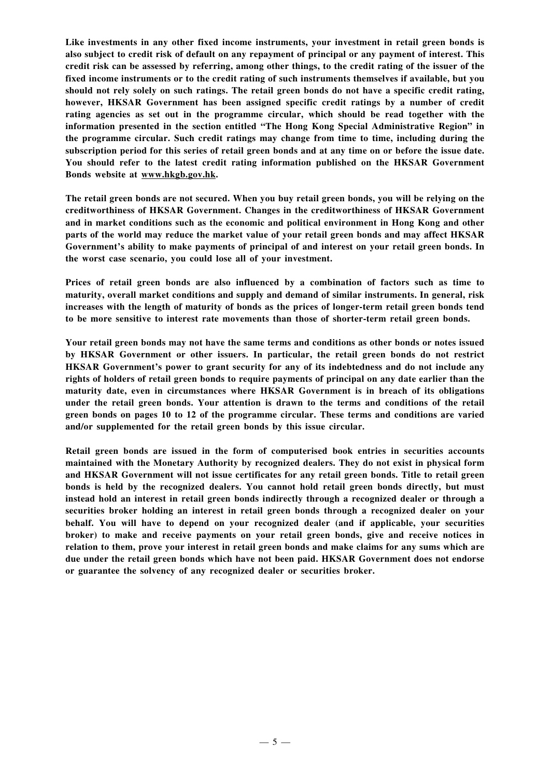**Like investments in any other fixed income instruments, your investment in retail green bonds is** also subject to credit risk of default on any repayment of principal or any payment of interest. This credit risk can be assessed by referring, among other things, to the credit rating of the issuer of the **fixed income instruments or to the credit rating of such instruments themselves if available, but you** should not rely solely on such ratings. The retail green bonds do not have a specific credit rating, **however, HKSAR Government has been assigned specific credit ratings by a number of credit rating agencies as set out in the programme circular, which should be read together with the information presented in the section entitled "The Hong Kong Special Administrative Region" in the programme circular. Such credit ratings may change from time to time, including during the** subscription period for this series of retail green bonds and at any time on or before the issue date. **You should refer to the latest credit rating information published on the HKSAR Government Bonds website at www.hkgb.gov.hk.**

The retail green bonds are not secured. When you buy retail green bonds, you will be relying on the **creditworthiness of HKSAR Government. Changes in the creditworthiness of HKSAR Government and in market conditions such as the economic and political environment in Hong Kong and other parts of the world may reduce the market value of your retail green bonds and may affect HKSAR Government's ability to make payments of principal of and interest on your retail green bonds. In the worst case scenario, you could lose all of your investment.**

**Prices of retail green bonds are also influenced by a combination of factors such as time to maturity, overall market conditions and supply and demand of similar instruments. In general, risk increases with the length of maturity of bonds as the prices of longer-term retail green bonds tend to be more sensitive to interest rate movements than those of shorter-term retail green bonds.**

**Your retail green bonds may not have the same terms and conditions as other bonds or notes issued by HKSAR Government or other issuers. In particular, the retail green bonds do not restrict HKSAR Government's power to grant security for any of its indebtedness and do not include any** rights of holders of retail green bonds to require payments of principal on any date earlier than the **maturity date, even in circumstances where HKSAR Government is in breach of its obligations under the retail green bonds. Your attention is drawn to the terms and conditions of the retail green bonds on pages 10 to 12 of the programme circular. These terms and conditions are varied and/or supplemented for the retail green bonds by this issue circular.**

**Retail green bonds are issued in the form of computerised book entries in securities accounts maintained with the Monetary Authority by recognized dealers. They do not exist in physical form and HKSAR Government will not issue certificates for any retail green bonds. Title to retail green bonds is held by the recognized dealers. You cannot hold retail green bonds directly, but must instead hold an interest in retail green bonds indirectly through a recognized dealer or through a securities broker holding an interest in retail green bonds through a recognized dealer on your behalf. You will have to depend on your recognized dealer (and if applicable, your securities broker) to make and receive payments on your retail green bonds, give and receive notices in relation to them, prove your interest in retail green bonds and make claims for any sums which are due under the retail green bonds which have not been paid. HKSAR Government does not endorse or guarantee the solvency of any recognized dealer or securities broker.**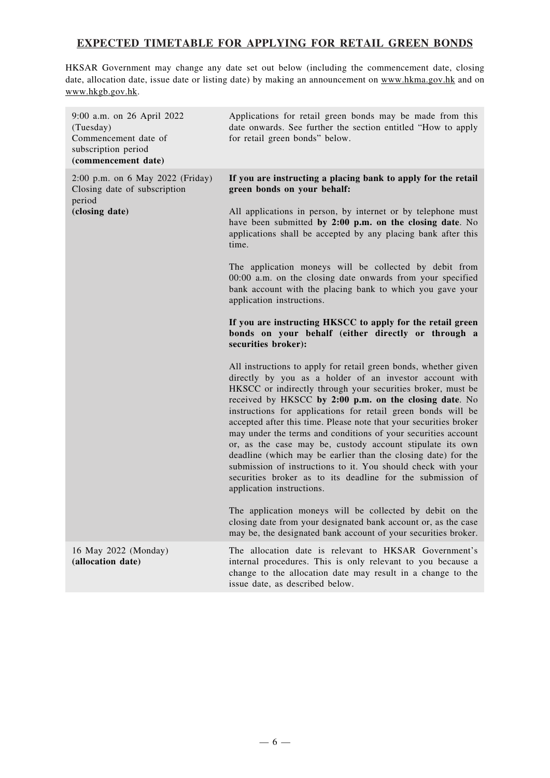## **EXPECTED TIMETABLE FOR APPLYING FOR RETAIL GREEN BONDS**

HKSAR Government may change any date set out below (including the commencement date, closing date, allocation date, issue date or listing date) by making an announcement on www.hkma.gov.hk and on www.hkgb.gov.hk.

| 9:00 a.m. on 26 April 2022<br>(Tuesday)<br>Commencement date of<br>subscription period<br>(commencement date) | Applications for retail green bonds may be made from this<br>date onwards. See further the section entitled "How to apply<br>for retail green bonds" below.                                                                                                                                                                                                                                                                                                                                                                                                                                                                                                                                                                                        |
|---------------------------------------------------------------------------------------------------------------|----------------------------------------------------------------------------------------------------------------------------------------------------------------------------------------------------------------------------------------------------------------------------------------------------------------------------------------------------------------------------------------------------------------------------------------------------------------------------------------------------------------------------------------------------------------------------------------------------------------------------------------------------------------------------------------------------------------------------------------------------|
| 2:00 p.m. on 6 May 2022 (Friday)<br>Closing date of subscription<br>period                                    | If you are instructing a placing bank to apply for the retail<br>green bonds on your behalf:                                                                                                                                                                                                                                                                                                                                                                                                                                                                                                                                                                                                                                                       |
| (closing date)                                                                                                | All applications in person, by internet or by telephone must<br>have been submitted by 2:00 p.m. on the closing date. No<br>applications shall be accepted by any placing bank after this<br>time.                                                                                                                                                                                                                                                                                                                                                                                                                                                                                                                                                 |
|                                                                                                               | The application moneys will be collected by debit from<br>00:00 a.m. on the closing date onwards from your specified<br>bank account with the placing bank to which you gave your<br>application instructions.                                                                                                                                                                                                                                                                                                                                                                                                                                                                                                                                     |
|                                                                                                               | If you are instructing HKSCC to apply for the retail green<br>bonds on your behalf (either directly or through a<br>securities broker):                                                                                                                                                                                                                                                                                                                                                                                                                                                                                                                                                                                                            |
|                                                                                                               | All instructions to apply for retail green bonds, whether given<br>directly by you as a holder of an investor account with<br>HKSCC or indirectly through your securities broker, must be<br>received by HKSCC by 2:00 p.m. on the closing date. No<br>instructions for applications for retail green bonds will be<br>accepted after this time. Please note that your securities broker<br>may under the terms and conditions of your securities account<br>or, as the case may be, custody account stipulate its own<br>deadline (which may be earlier than the closing date) for the<br>submission of instructions to it. You should check with your<br>securities broker as to its deadline for the submission of<br>application instructions. |
|                                                                                                               | The application moneys will be collected by debit on the<br>closing date from your designated bank account or, as the case<br>may be, the designated bank account of your securities broker.                                                                                                                                                                                                                                                                                                                                                                                                                                                                                                                                                       |
| 16 May 2022 (Monday)<br>(allocation date)                                                                     | The allocation date is relevant to HKSAR Government's<br>internal procedures. This is only relevant to you because a<br>change to the allocation date may result in a change to the<br>issue date, as described below.                                                                                                                                                                                                                                                                                                                                                                                                                                                                                                                             |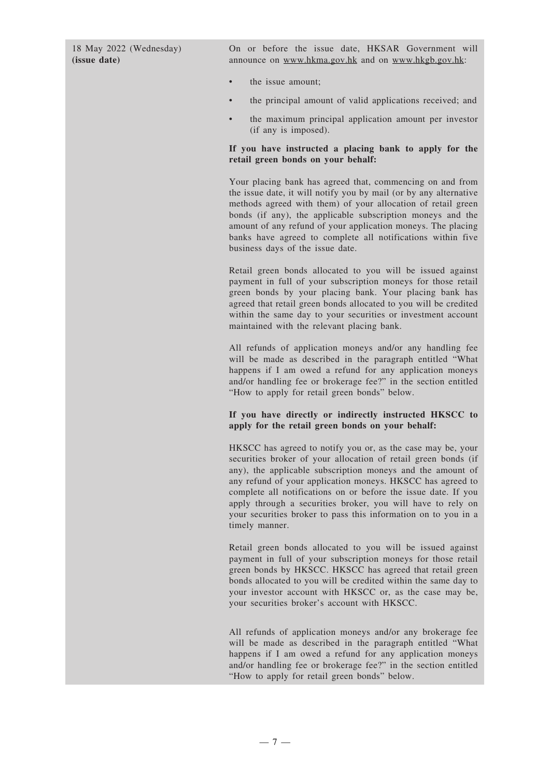18 May 2022 (Wednesday) **(issue date)**

On or before the issue date, HKSAR Government will announce on www.hkma.gov.hk and on www.hkgb.gov.hk:

- the issue amount;
- the principal amount of valid applications received; and
- the maximum principal application amount per investor (if any is imposed).

#### **If you have instructed a placing bank to apply for the retail green bonds on your behalf:**

Your placing bank has agreed that, commencing on and from the issue date, it will notify you by mail (or by any alternative methods agreed with them) of your allocation of retail green bonds (if any), the applicable subscription moneys and the amount of any refund of your application moneys. The placing banks have agreed to complete all notifications within five business days of the issue date.

Retail green bonds allocated to you will be issued against payment in full of your subscription moneys for those retail green bonds by your placing bank. Your placing bank has agreed that retail green bonds allocated to you will be credited within the same day to your securities or investment account maintained with the relevant placing bank.

All refunds of application moneys and/or any handling fee will be made as described in the paragraph entitled "What happens if I am owed a refund for any application moneys and/or handling fee or brokerage fee?" in the section entitled "How to apply for retail green bonds" below.

#### **If you have directly or indirectly instructed HKSCC to apply for the retail green bonds on your behalf:**

HKSCC has agreed to notify you or, as the case may be, your securities broker of your allocation of retail green bonds (if any), the applicable subscription moneys and the amount of any refund of your application moneys. HKSCC has agreed to complete all notifications on or before the issue date. If you apply through a securities broker, you will have to rely on your securities broker to pass this information on to you in a timely manner.

Retail green bonds allocated to you will be issued against payment in full of your subscription moneys for those retail green bonds by HKSCC. HKSCC has agreed that retail green bonds allocated to you will be credited within the same day to your investor account with HKSCC or, as the case may be, your securities broker's account with HKSCC.

All refunds of application moneys and/or any brokerage fee will be made as described in the paragraph entitled "What happens if I am owed a refund for any application moneys and/or handling fee or brokerage fee?" in the section entitled "How to apply for retail green bonds" below.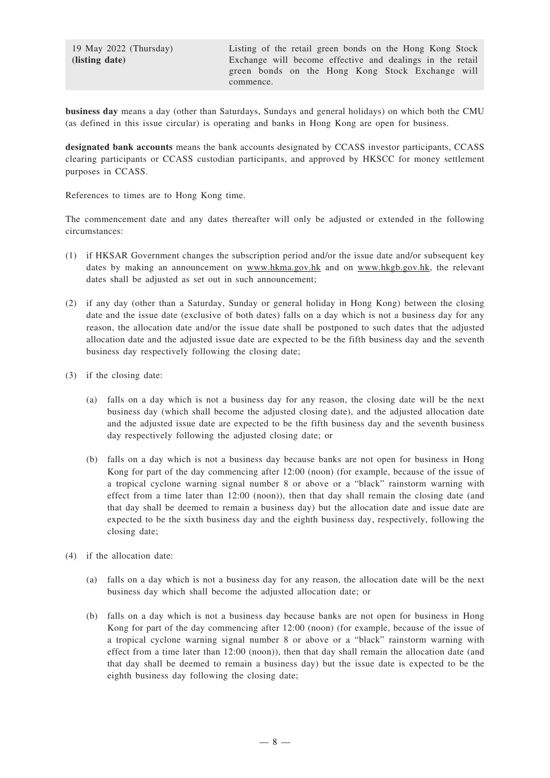19 May 2022 (Thursday) **(listing date)**

**business day** means a day (other than Saturdays, Sundays and general holidays) on which both the CMU (as defined in this issue circular) is operating and banks in Hong Kong are open for business.

**designated bank accounts** means the bank accounts designated by CCASS investor participants, CCASS clearing participants or CCASS custodian participants, and approved by HKSCC for money settlement purposes in CCASS.

References to times are to Hong Kong time.

The commencement date and any dates thereafter will only be adjusted or extended in the following circumstances:

- (1) if HKSAR Government changes the subscription period and/or the issue date and/or subsequent key dates by making an announcement on www.hkma.gov.hk and on www.hkgb.gov.hk, the relevant dates shall be adjusted as set out in such announcement;
- (2) if any day (other than a Saturday, Sunday or general holiday in Hong Kong) between the closing date and the issue date (exclusive of both dates) falls on a day which is not a business day for any reason, the allocation date and/or the issue date shall be postponed to such dates that the adjusted allocation date and the adjusted issue date are expected to be the fifth business day and the seventh business day respectively following the closing date;
- (3) if the closing date:
	- (a) falls on a day which is not a business day for any reason, the closing date will be the next business day (which shall become the adjusted closing date), and the adjusted allocation date and the adjusted issue date are expected to be the fifth business day and the seventh business day respectively following the adjusted closing date; or
	- (b) falls on a day which is not a business day because banks are not open for business in Hong Kong for part of the day commencing after 12:00 (noon) (for example, because of the issue of a tropical cyclone warning signal number 8 or above or a "black" rainstorm warning with effect from a time later than 12:00 (noon)), then that day shall remain the closing date (and that day shall be deemed to remain a business day) but the allocation date and issue date are expected to be the sixth business day and the eighth business day, respectively, following the closing date;
- (4) if the allocation date:
	- (a) falls on a day which is not a business day for any reason, the allocation date will be the next business day which shall become the adjusted allocation date; or
	- (b) falls on a day which is not a business day because banks are not open for business in Hong Kong for part of the day commencing after 12:00 (noon) (for example, because of the issue of a tropical cyclone warning signal number 8 or above or a "black" rainstorm warning with effect from a time later than 12:00 (noon)), then that day shall remain the allocation date (and that day shall be deemed to remain a business day) but the issue date is expected to be the eighth business day following the closing date;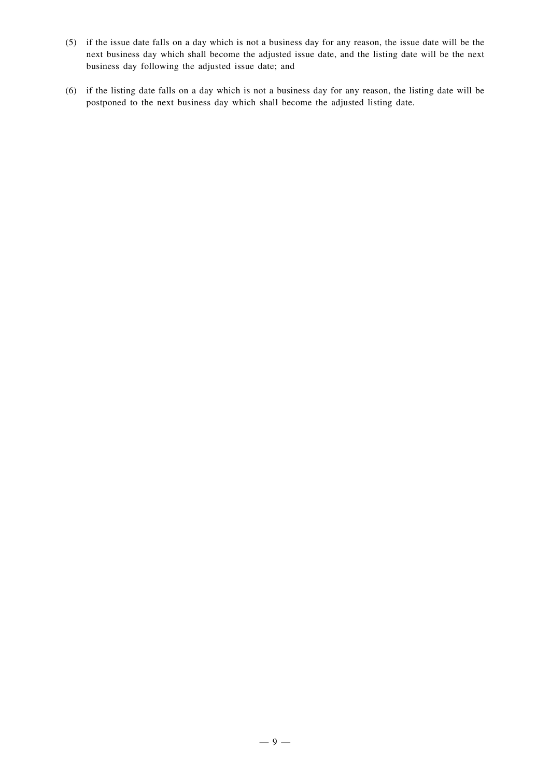- (5) if the issue date falls on a day which is not a business day for any reason, the issue date will be the next business day which shall become the adjusted issue date, and the listing date will be the next business day following the adjusted issue date; and
- (6) if the listing date falls on a day which is not a business day for any reason, the listing date will be postponed to the next business day which shall become the adjusted listing date.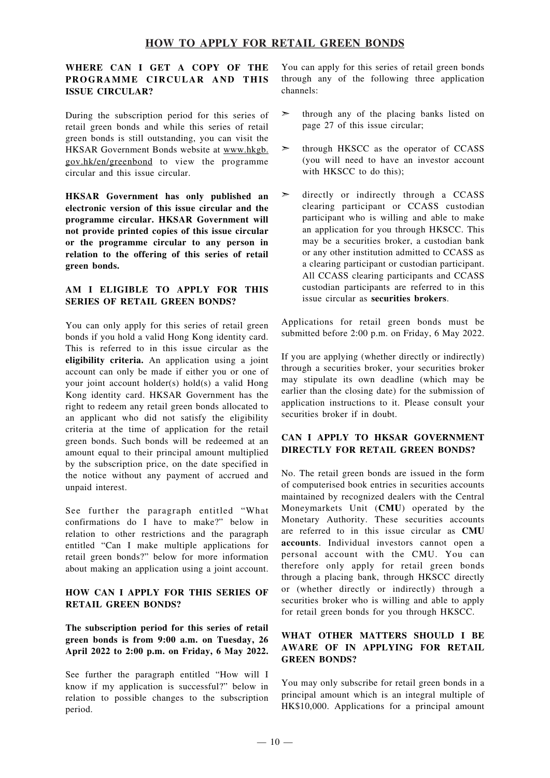## **HOW TO APPLY FOR RETAIL GREEN BONDS**

## **WHERE CAN I GET A COPY OF THE PROGRAMME CIRCULAR AND THIS ISSUE CIRCULAR?**

During the subscription period for this series of retail green bonds and while this series of retail green bonds is still outstanding, you can visit the HKSAR Government Bonds website at [www.hkgb.](www.hkgb.gov.hk/en/greenbond) [gov.hk/en/greenbond](www.hkgb.gov.hk/en/greenbond) to view the programme circular and this issue circular.

**HKSAR Government has only published an electronic version of this issue circular and the programme circular. HKSAR Government will not provide printed copies of this issue circular or the programme circular to any person in relation to the offering of this series of retail green bonds.**

#### **AM I ELIGIBLE TO APPLY FOR THIS SERIES OF RETAIL GREEN BONDS?**

You can only apply for this series of retail green bonds if you hold a valid Hong Kong identity card. This is referred to in this issue circular as the **eligibility criteria.** An application using a joint account can only be made if either you or one of your joint account holder(s) hold(s) a valid Hong Kong identity card. HKSAR Government has the right to redeem any retail green bonds allocated to an applicant who did not satisfy the eligibility criteria at the time of application for the retail green bonds. Such bonds will be redeemed at an amount equal to their principal amount multiplied by the subscription price, on the date specified in the notice without any payment of accrued and unpaid interest.

See further the paragraph entitled "What confirmations do I have to make?" below in relation to other restrictions and the paragraph entitled "Can I make multiple applications for retail green bonds?" below for more information about making an application using a joint account.

## **HOW CAN I APPLY FOR THIS SERIES OF RETAIL GREEN BONDS?**

## **The subscription period for this series of retail green bonds is from 9:00 a.m. on Tuesday, 26 April 2022 to 2:00 p.m. on Friday, 6 May 2022.**

See further the paragraph entitled "How will I know if my application is successful?" below in relation to possible changes to the subscription period.

You can apply for this series of retail green bonds through any of the following three application channels:

- ➣ through any of the placing banks listed on page 27 of this issue circular;
- $\geq$  through HKSCC as the operator of CCASS (you will need to have an investor account with HKSCC to do this):
- directly or indirectly through a CCASS clearing participant or CCASS custodian participant who is willing and able to make an application for you through HKSCC. This may be a securities broker, a custodian bank or any other institution admitted to CCASS as a clearing participant or custodian participant. All CCASS clearing participants and CCASS custodian participants are referred to in this issue circular as **securities brokers**.

Applications for retail green bonds must be submitted before 2:00 p.m. on Friday, 6 May 2022.

If you are applying (whether directly or indirectly) through a securities broker, your securities broker may stipulate its own deadline (which may be earlier than the closing date) for the submission of application instructions to it. Please consult your securities broker if in doubt.

#### **CAN I APPLY TO HKSAR GOVERNMENT DIRECTLY FOR RETAIL GREEN BONDS?**

No. The retail green bonds are issued in the form of computerised book entries in securities accounts maintained by recognized dealers with the Central Moneymarkets Unit (**CMU**) operated by the Monetary Authority. These securities accounts are referred to in this issue circular as **CMU accounts**. Individual investors cannot open a personal account with the CMU. You can therefore only apply for retail green bonds through a placing bank, through HKSCC directly or (whether directly or indirectly) through a securities broker who is willing and able to apply for retail green bonds for you through HKSCC.

#### **WHAT OTHER MATTERS SHOULD I BE AWARE OF IN APPLYING FOR RETAIL GREEN BONDS?**

You may only subscribe for retail green bonds in a principal amount which is an integral multiple of HK\$10,000. Applications for a principal amount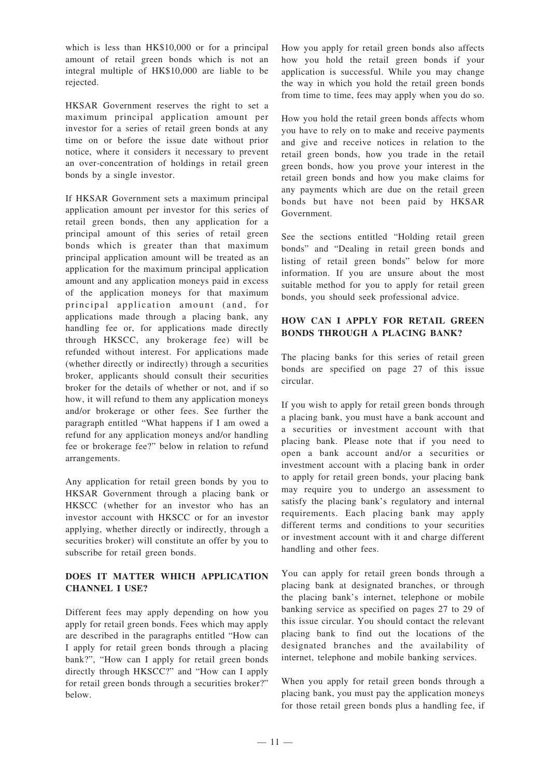which is less than HK\$10,000 or for a principal amount of retail green bonds which is not an integral multiple of HK\$10,000 are liable to be rejected.

HKSAR Government reserves the right to set a maximum principal application amount per investor for a series of retail green bonds at any time on or before the issue date without prior notice, where it considers it necessary to prevent an over-concentration of holdings in retail green bonds by a single investor.

If HKSAR Government sets a maximum principal application amount per investor for this series of retail green bonds, then any application for a principal amount of this series of retail green bonds which is greater than that maximum principal application amount will be treated as an application for the maximum principal application amount and any application moneys paid in excess of the application moneys for that maximum principal application amount (and, for applications made through a placing bank, any handling fee or, for applications made directly through HKSCC, any brokerage fee) will be refunded without interest. For applications made (whether directly or indirectly) through a securities broker, applicants should consult their securities broker for the details of whether or not, and if so how, it will refund to them any application moneys and/or brokerage or other fees. See further the paragraph entitled "What happens if I am owed a refund for any application moneys and/or handling fee or brokerage fee?" below in relation to refund arrangements.

Any application for retail green bonds by you to HKSAR Government through a placing bank or HKSCC (whether for an investor who has an investor account with HKSCC or for an investor applying, whether directly or indirectly, through a securities broker) will constitute an offer by you to subscribe for retail green bonds.

## **DOES IT MATTER WHICH APPLICATION CHANNEL I USE?**

Different fees may apply depending on how you apply for retail green bonds. Fees which may apply are described in the paragraphs entitled "How can I apply for retail green bonds through a placing bank?", "How can I apply for retail green bonds directly through HKSCC?" and "How can I apply for retail green bonds through a securities broker?" below.

How you apply for retail green bonds also affects how you hold the retail green bonds if your application is successful. While you may change the way in which you hold the retail green bonds from time to time, fees may apply when you do so.

How you hold the retail green bonds affects whom you have to rely on to make and receive payments and give and receive notices in relation to the retail green bonds, how you trade in the retail green bonds, how you prove your interest in the retail green bonds and how you make claims for any payments which are due on the retail green bonds but have not been paid by HKSAR Government.

See the sections entitled "Holding retail green bonds" and "Dealing in retail green bonds and listing of retail green bonds" below for more information. If you are unsure about the most suitable method for you to apply for retail green bonds, you should seek professional advice.

### **HOW CAN I APPLY FOR RETAIL GREEN BONDS THROUGH A PLACING BANK?**

The placing banks for this series of retail green bonds are specified on page 27 of this issue circular.

If you wish to apply for retail green bonds through a placing bank, you must have a bank account and a securities or investment account with that placing bank. Please note that if you need to open a bank account and/or a securities or investment account with a placing bank in order to apply for retail green bonds, your placing bank may require you to undergo an assessment to satisfy the placing bank's regulatory and internal requirements. Each placing bank may apply different terms and conditions to your securities or investment account with it and charge different handling and other fees.

You can apply for retail green bonds through a placing bank at designated branches, or through the placing bank's internet, telephone or mobile banking service as specified on pages 27 to 29 of this issue circular. You should contact the relevant placing bank to find out the locations of the designated branches and the availability of internet, telephone and mobile banking services.

When you apply for retail green bonds through a placing bank, you must pay the application moneys for those retail green bonds plus a handling fee, if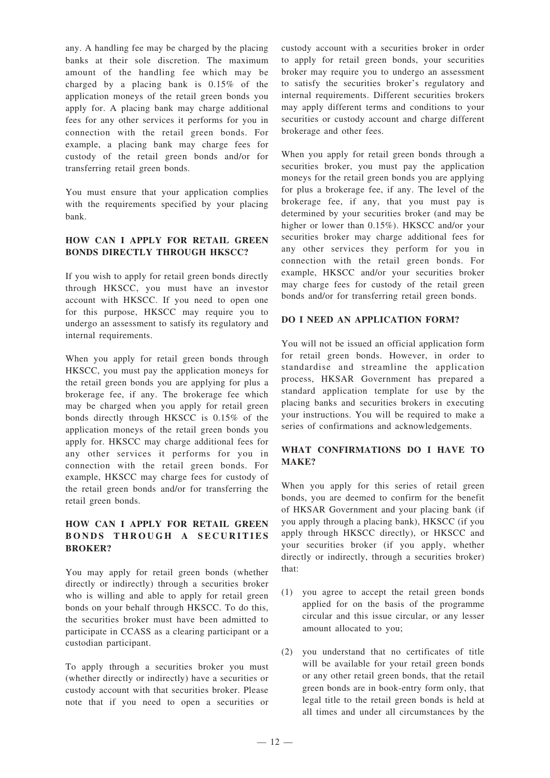any. A handling fee may be charged by the placing banks at their sole discretion. The maximum amount of the handling fee which may be charged by a placing bank is 0.15% of the application moneys of the retail green bonds you apply for. A placing bank may charge additional fees for any other services it performs for you in connection with the retail green bonds. For example, a placing bank may charge fees for custody of the retail green bonds and/or for transferring retail green bonds.

You must ensure that your application complies with the requirements specified by your placing bank.

## **HOW CAN I APPLY FOR RETAIL GREEN BONDS DIRECTLY THROUGH HKSCC?**

If you wish to apply for retail green bonds directly through HKSCC, you must have an investor account with HKSCC. If you need to open one for this purpose, HKSCC may require you to undergo an assessment to satisfy its regulatory and internal requirements.

When you apply for retail green bonds through HKSCC, you must pay the application moneys for the retail green bonds you are applying for plus a brokerage fee, if any. The brokerage fee which may be charged when you apply for retail green bonds directly through HKSCC is 0.15% of the application moneys of the retail green bonds you apply for. HKSCC may charge additional fees for any other services it performs for you in connection with the retail green bonds. For example, HKSCC may charge fees for custody of the retail green bonds and/or for transferring the retail green bonds.

## **HOW CAN I APPLY FOR RETAIL GREEN BONDS THROUGH A SECURITIES BROKER?**

You may apply for retail green bonds (whether directly or indirectly) through a securities broker who is willing and able to apply for retail green bonds on your behalf through HKSCC. To do this, the securities broker must have been admitted to participate in CCASS as a clearing participant or a custodian participant.

To apply through a securities broker you must (whether directly or indirectly) have a securities or custody account with that securities broker. Please note that if you need to open a securities or custody account with a securities broker in order to apply for retail green bonds, your securities broker may require you to undergo an assessment to satisfy the securities broker's regulatory and internal requirements. Different securities brokers may apply different terms and conditions to your securities or custody account and charge different brokerage and other fees.

When you apply for retail green bonds through a securities broker, you must pay the application moneys for the retail green bonds you are applying for plus a brokerage fee, if any. The level of the brokerage fee, if any, that you must pay is determined by your securities broker (and may be higher or lower than 0.15%). HKSCC and/or your securities broker may charge additional fees for any other services they perform for you in connection with the retail green bonds. For example, HKSCC and/or your securities broker may charge fees for custody of the retail green bonds and/or for transferring retail green bonds.

## **DO I NEED AN APPLICATION FORM?**

You will not be issued an official application form for retail green bonds. However, in order to standardise and streamline the application process, HKSAR Government has prepared a standard application template for use by the placing banks and securities brokers in executing your instructions. You will be required to make a series of confirmations and acknowledgements.

## **WHAT CONFIRMATIONS DO I HAVE TO MAKE?**

When you apply for this series of retail green bonds, you are deemed to confirm for the benefit of HKSAR Government and your placing bank (if you apply through a placing bank), HKSCC (if you apply through HKSCC directly), or HKSCC and your securities broker (if you apply, whether directly or indirectly, through a securities broker) that:

- (1) you agree to accept the retail green bonds applied for on the basis of the programme circular and this issue circular, or any lesser amount allocated to you;
- (2) you understand that no certificates of title will be available for your retail green bonds or any other retail green bonds, that the retail green bonds are in book-entry form only, that legal title to the retail green bonds is held at all times and under all circumstances by the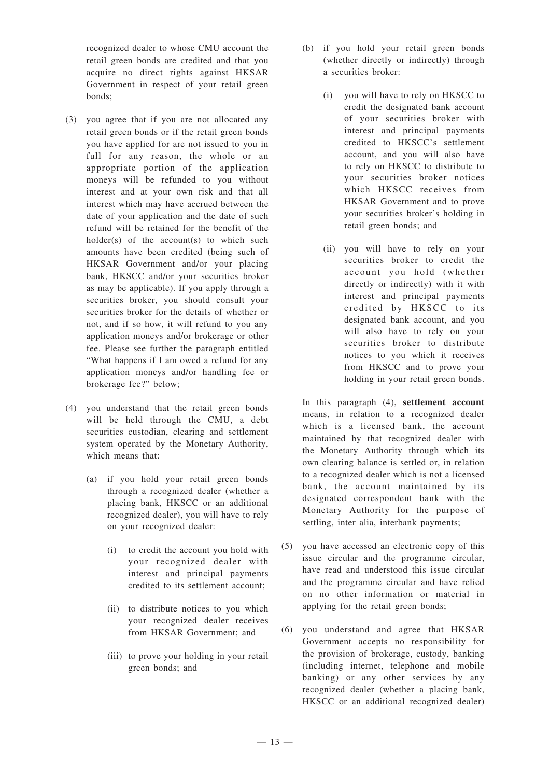recognized dealer to whose CMU account the retail green bonds are credited and that you acquire no direct rights against HKSAR Government in respect of your retail green bonds;

- (3) you agree that if you are not allocated any retail green bonds or if the retail green bonds you have applied for are not issued to you in full for any reason, the whole or an appropriate portion of the application moneys will be refunded to you without interest and at your own risk and that all interest which may have accrued between the date of your application and the date of such refund will be retained for the benefit of the holder(s) of the  $account(s)$  to which such amounts have been credited (being such of HKSAR Government and/or your placing bank, HKSCC and/or your securities broker as may be applicable). If you apply through a securities broker, you should consult your securities broker for the details of whether or not, and if so how, it will refund to you any application moneys and/or brokerage or other fee. Please see further the paragraph entitled "What happens if I am owed a refund for any application moneys and/or handling fee or brokerage fee?" below;
- (4) you understand that the retail green bonds will be held through the CMU, a debt securities custodian, clearing and settlement system operated by the Monetary Authority, which means that:
	- (a) if you hold your retail green bonds through a recognized dealer (whether a placing bank, HKSCC or an additional recognized dealer), you will have to rely on your recognized dealer:
		- (i) to credit the account you hold with your recognized dealer with interest and principal payments credited to its settlement account;
		- (ii) to distribute notices to you which your recognized dealer receives from HKSAR Government; and
		- (iii) to prove your holding in your retail green bonds; and
- (b) if you hold your retail green bonds (whether directly or indirectly) through a securities broker:
	- (i) you will have to rely on HKSCC to credit the designated bank account of your securities broker with interest and principal payments credited to HKSCC's settlement account, and you will also have to rely on HKSCC to distribute to your securities broker notices which HKSCC receives from HKSAR Government and to prove your securities broker's holding in retail green bonds; and
	- (ii) you will have to rely on your securities broker to credit the account you hold (whether directly or indirectly) with it with interest and principal payments credited by HKSCC to its designated bank account, and you will also have to rely on your securities broker to distribute notices to you which it receives from HKSCC and to prove your holding in your retail green bonds.

In this paragraph (4), **settlement account** means, in relation to a recognized dealer which is a licensed bank, the account maintained by that recognized dealer with the Monetary Authority through which its own clearing balance is settled or, in relation to a recognized dealer which is not a licensed bank, the account maintained by its designated correspondent bank with the Monetary Authority for the purpose of settling, inter alia, interbank payments;

- (5) you have accessed an electronic copy of this issue circular and the programme circular, have read and understood this issue circular and the programme circular and have relied on no other information or material in applying for the retail green bonds;
- (6) you understand and agree that HKSAR Government accepts no responsibility for the provision of brokerage, custody, banking (including internet, telephone and mobile banking) or any other services by any recognized dealer (whether a placing bank, HKSCC or an additional recognized dealer)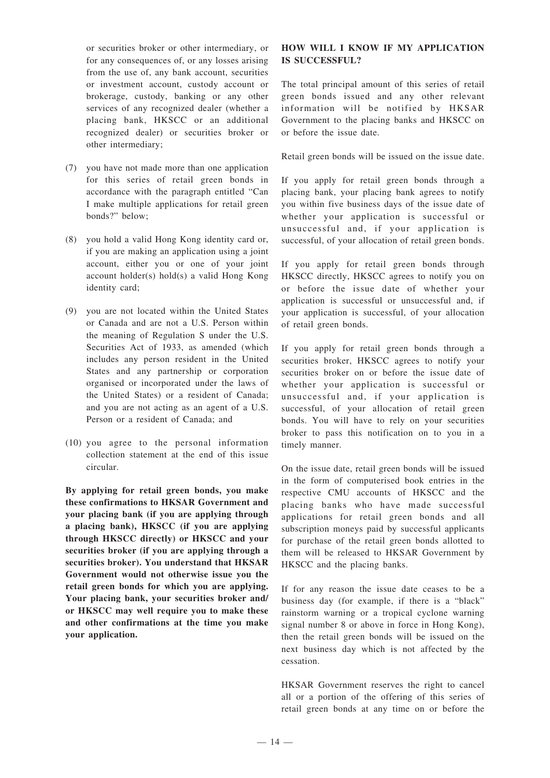or securities broker or other intermediary, or for any consequences of, or any losses arising from the use of, any bank account, securities or investment account, custody account or brokerage, custody, banking or any other services of any recognized dealer (whether a placing bank, HKSCC or an additional recognized dealer) or securities broker or other intermediary;

- (7) you have not made more than one application for this series of retail green bonds in accordance with the paragraph entitled "Can I make multiple applications for retail green bonds?" below;
- (8) you hold a valid Hong Kong identity card or, if you are making an application using a joint account, either you or one of your joint account holder(s) hold(s) a valid Hong Kong identity card;
- (9) you are not located within the United States or Canada and are not a U.S. Person within the meaning of Regulation S under the U.S. Securities Act of 1933, as amended (which includes any person resident in the United States and any partnership or corporation organised or incorporated under the laws of the United States) or a resident of Canada; and you are not acting as an agent of a U.S. Person or a resident of Canada; and
- (10) you agree to the personal information collection statement at the end of this issue circular.

**By applying for retail green bonds, you make these confirmations to HKSAR Government and your placing bank (if you are applying through a placing bank), HKSCC (if you are applying through HKSCC directly) or HKSCC and your securities broker (if you are applying through a securities broker). You understand that HKSAR Government would not otherwise issue you the retail green bonds for which you are applying. Your placing bank, your securities broker and/ or HKSCC may well require you to make these and other confirmations at the time you make your application.**

#### **HOW WILL I KNOW IF MY APPLICATION IS SUCCESSFUL?**

The total principal amount of this series of retail green bonds issued and any other relevant information will be notified by HKSAR Government to the placing banks and HKSCC on or before the issue date.

Retail green bonds will be issued on the issue date.

If you apply for retail green bonds through a placing bank, your placing bank agrees to notify you within five business days of the issue date of whether your application is successful or unsuccessful and, if your application is successful, of your allocation of retail green bonds.

If you apply for retail green bonds through HKSCC directly, HKSCC agrees to notify you on or before the issue date of whether your application is successful or unsuccessful and, if your application is successful, of your allocation of retail green bonds.

If you apply for retail green bonds through a securities broker, HKSCC agrees to notify your securities broker on or before the issue date of whether your application is successful or unsuccessful and, if your application is successful, of your allocation of retail green bonds. You will have to rely on your securities broker to pass this notification on to you in a timely manner.

On the issue date, retail green bonds will be issued in the form of computerised book entries in the respective CMU accounts of HKSCC and the placing banks who have made successful applications for retail green bonds and all subscription moneys paid by successful applicants for purchase of the retail green bonds allotted to them will be released to HKSAR Government by HKSCC and the placing banks.

If for any reason the issue date ceases to be a business day (for example, if there is a "black" rainstorm warning or a tropical cyclone warning signal number 8 or above in force in Hong Kong), then the retail green bonds will be issued on the next business day which is not affected by the cessation.

HKSAR Government reserves the right to cancel all or a portion of the offering of this series of retail green bonds at any time on or before the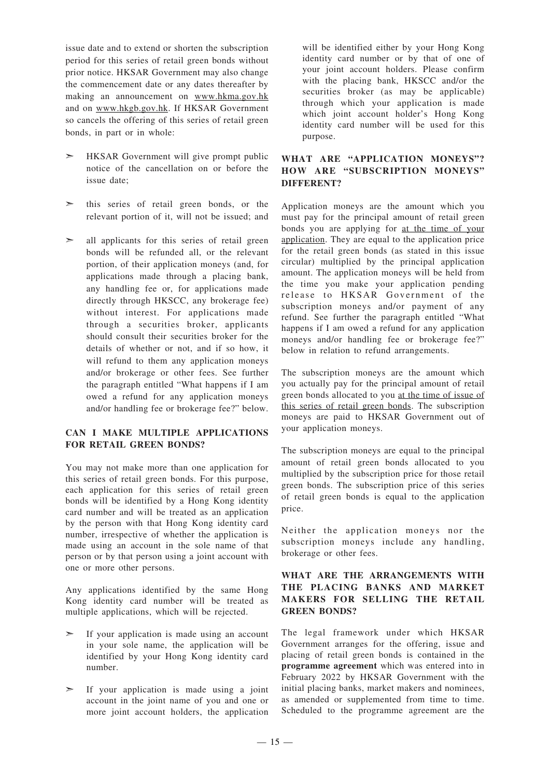issue date and to extend or shorten the subscription period for this series of retail green bonds without prior notice. HKSAR Government may also change the commencement date or any dates thereafter by making an announcement on www.hkma.gov.hk and on www.hkgb.gov.hk. If HKSAR Government so cancels the offering of this series of retail green bonds, in part or in whole:

- ➣ HKSAR Government will give prompt public notice of the cancellation on or before the issue date;
- ➣ this series of retail green bonds, or the relevant portion of it, will not be issued; and
- $\geq$  all applicants for this series of retail green bonds will be refunded all, or the relevant portion, of their application moneys (and, for applications made through a placing bank, any handling fee or, for applications made directly through HKSCC, any brokerage fee) without interest. For applications made through a securities broker, applicants should consult their securities broker for the details of whether or not, and if so how, it will refund to them any application moneys and/or brokerage or other fees. See further the paragraph entitled "What happens if I am owed a refund for any application moneys and/or handling fee or brokerage fee?" below.

#### **CAN I MAKE MULTIPLE APPLICATIONS FOR RETAIL GREEN BONDS?**

You may not make more than one application for this series of retail green bonds. For this purpose, each application for this series of retail green bonds will be identified by a Hong Kong identity card number and will be treated as an application by the person with that Hong Kong identity card number, irrespective of whether the application is made using an account in the sole name of that person or by that person using a joint account with one or more other persons.

Any applications identified by the same Hong Kong identity card number will be treated as multiple applications, which will be rejected.

- ➣ If your application is made using an account in your sole name, the application will be identified by your Hong Kong identity card number.
- $\geq$  If your application is made using a joint account in the joint name of you and one or more joint account holders, the application

will be identified either by your Hong Kong identity card number or by that of one of your joint account holders. Please confirm with the placing bank, HKSCC and/or the securities broker (as may be applicable) through which your application is made which joint account holder's Hong Kong identity card number will be used for this purpose.

### **WHAT ARE "APPLICATION MONEYS"? HOW ARE "SUBSCRIPTION MONEYS" DIFFERENT?**

Application moneys are the amount which you must pay for the principal amount of retail green bonds you are applying for at the time of your application. They are equal to the application price for the retail green bonds (as stated in this issue circular) multiplied by the principal application amount. The application moneys will be held from the time you make your application pending release to HKSAR Government of the subscription moneys and/or payment of any refund. See further the paragraph entitled "What happens if I am owed a refund for any application moneys and/or handling fee or brokerage fee?" below in relation to refund arrangements.

The subscription moneys are the amount which you actually pay for the principal amount of retail green bonds allocated to you at the time of issue of this series of retail green bonds. The subscription moneys are paid to HKSAR Government out of your application moneys.

The subscription moneys are equal to the principal amount of retail green bonds allocated to you multiplied by the subscription price for those retail green bonds. The subscription price of this series of retail green bonds is equal to the application price.

Neither the application moneys nor the subscription moneys include any handling, brokerage or other fees.

### **WHAT ARE THE ARRANGEMENTS WITH THE PLACING BANKS AND MARKET MAKERS FOR SELLING THE RETAIL GREEN BONDS?**

The legal framework under which HKSAR Government arranges for the offering, issue and placing of retail green bonds is contained in the **programme agreement** which was entered into in February 2022 by HKSAR Government with the initial placing banks, market makers and nominees, as amended or supplemented from time to time. Scheduled to the programme agreement are the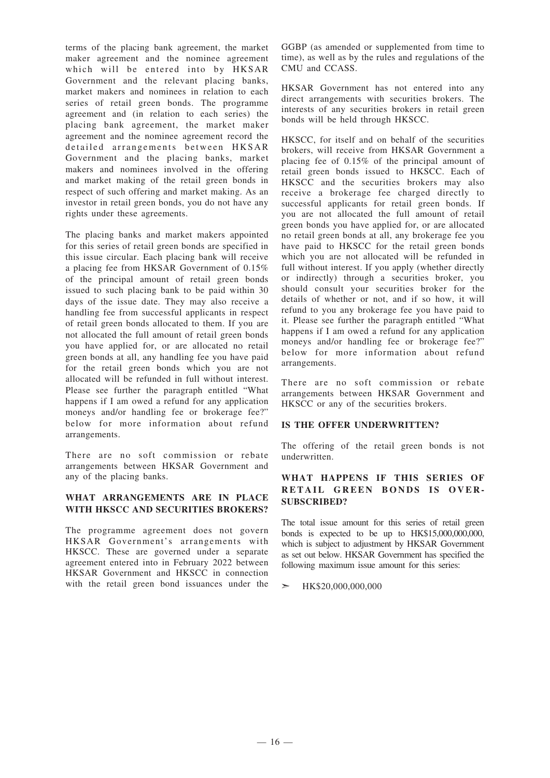terms of the placing bank agreement, the market maker agreement and the nominee agreement which will be entered into by HKSAR Government and the relevant placing banks, market makers and nominees in relation to each series of retail green bonds. The programme agreement and (in relation to each series) the placing bank agreement, the market maker agreement and the nominee agreement record the detailed arrangements between HKSAR Government and the placing banks, market makers and nominees involved in the offering and market making of the retail green bonds in respect of such offering and market making. As an investor in retail green bonds, you do not have any rights under these agreements.

The placing banks and market makers appointed for this series of retail green bonds are specified in this issue circular. Each placing bank will receive a placing fee from HKSAR Government of 0.15% of the principal amount of retail green bonds issued to such placing bank to be paid within 30 days of the issue date. They may also receive a handling fee from successful applicants in respect of retail green bonds allocated to them. If you are not allocated the full amount of retail green bonds you have applied for, or are allocated no retail green bonds at all, any handling fee you have paid for the retail green bonds which you are not allocated will be refunded in full without interest. Please see further the paragraph entitled "What happens if I am owed a refund for any application moneys and/or handling fee or brokerage fee?" below for more information about refund arrangements.

There are no soft commission or rebate arrangements between HKSAR Government and any of the placing banks.

#### **WHAT ARRANGEMENTS ARE IN PLACE WITH HKSCC AND SECURITIES BROKERS?**

The programme agreement does not govern HKSAR Government's arrangements with HKSCC. These are governed under a separate agreement entered into in February 2022 between HKSAR Government and HKSCC in connection with the retail green bond issuances under the

GGBP (as amended or supplemented from time to time), as well as by the rules and regulations of the CMU and CCASS.

HKSAR Government has not entered into any direct arrangements with securities brokers. The interests of any securities brokers in retail green bonds will be held through HKSCC.

HKSCC, for itself and on behalf of the securities brokers, will receive from HKSAR Government a placing fee of 0.15% of the principal amount of retail green bonds issued to HKSCC. Each of HKSCC and the securities brokers may also receive a brokerage fee charged directly to successful applicants for retail green bonds. If you are not allocated the full amount of retail green bonds you have applied for, or are allocated no retail green bonds at all, any brokerage fee you have paid to HKSCC for the retail green bonds which you are not allocated will be refunded in full without interest. If you apply (whether directly or indirectly) through a securities broker, you should consult your securities broker for the details of whether or not, and if so how, it will refund to you any brokerage fee you have paid to it. Please see further the paragraph entitled "What happens if I am owed a refund for any application moneys and/or handling fee or brokerage fee?" below for more information about refund arrangements.

There are no soft commission or rebate arrangements between HKSAR Government and HKSCC or any of the securities brokers.

#### **IS THE OFFER UNDERWRITTEN?**

The offering of the retail green bonds is not underwritten.

#### **WHAT HAPPENS IF THIS SERIES OF RETAIL GREEN BONDS IS OVER-SUBSCRIBED?**

The total issue amount for this series of retail green bonds is expected to be up to HK\$15,000,000,000, which is subject to adjustment by HKSAR Government as set out below. HKSAR Government has specified the following maximum issue amount for this series:

#### ➣ HK\$20,000,000,000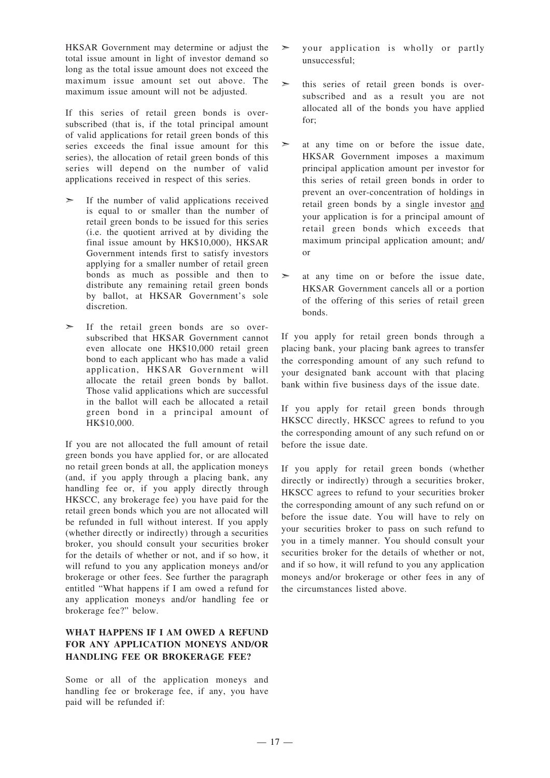HKSAR Government may determine or adjust the total issue amount in light of investor demand so long as the total issue amount does not exceed the maximum issue amount set out above. The maximum issue amount will not be adjusted.

If this series of retail green bonds is oversubscribed (that is, if the total principal amount of valid applications for retail green bonds of this series exceeds the final issue amount for this series), the allocation of retail green bonds of this series will depend on the number of valid applications received in respect of this series.

- ➣ If the number of valid applications received is equal to or smaller than the number of retail green bonds to be issued for this series (i.e. the quotient arrived at by dividing the final issue amount by HK\$10,000), HKSAR Government intends first to satisfy investors applying for a smaller number of retail green bonds as much as possible and then to distribute any remaining retail green bonds by ballot, at HKSAR Government's sole discretion.
- ➣ If the retail green bonds are so oversubscribed that HKSAR Government cannot even allocate one HK\$10,000 retail green bond to each applicant who has made a valid application, HKSAR Government will allocate the retail green bonds by ballot. Those valid applications which are successful in the ballot will each be allocated a retail green bond in a principal amount of HK\$10,000.

If you are not allocated the full amount of retail green bonds you have applied for, or are allocated no retail green bonds at all, the application moneys (and, if you apply through a placing bank, any handling fee or, if you apply directly through HKSCC, any brokerage fee) you have paid for the retail green bonds which you are not allocated will be refunded in full without interest. If you apply (whether directly or indirectly) through a securities broker, you should consult your securities broker for the details of whether or not, and if so how, it will refund to you any application moneys and/or brokerage or other fees. See further the paragraph entitled "What happens if I am owed a refund for any application moneys and/or handling fee or brokerage fee?" below.

## **WHAT HAPPENS IF I AM OWED A REFUND FOR ANY APPLICATION MONEYS AND/OR HANDLING FEE OR BROKERAGE FEE?**

Some or all of the application moneys and handling fee or brokerage fee, if any, you have paid will be refunded if:

- $\geq$  your application is wholly or partly unsuccessful;
- ➣ this series of retail green bonds is oversubscribed and as a result you are not allocated all of the bonds you have applied for;
- ➣ at any time on or before the issue date, HKSAR Government imposes a maximum principal application amount per investor for this series of retail green bonds in order to prevent an over-concentration of holdings in retail green bonds by a single investor and your application is for a principal amount of retail green bonds which exceeds that maximum principal application amount; and/ or
- ➣ at any time on or before the issue date, HKSAR Government cancels all or a portion of the offering of this series of retail green bonds.

If you apply for retail green bonds through a placing bank, your placing bank agrees to transfer the corresponding amount of any such refund to your designated bank account with that placing bank within five business days of the issue date.

If you apply for retail green bonds through HKSCC directly, HKSCC agrees to refund to you the corresponding amount of any such refund on or before the issue date.

If you apply for retail green bonds (whether directly or indirectly) through a securities broker, HKSCC agrees to refund to your securities broker the corresponding amount of any such refund on or before the issue date. You will have to rely on your securities broker to pass on such refund to you in a timely manner. You should consult your securities broker for the details of whether or not, and if so how, it will refund to you any application moneys and/or brokerage or other fees in any of the circumstances listed above.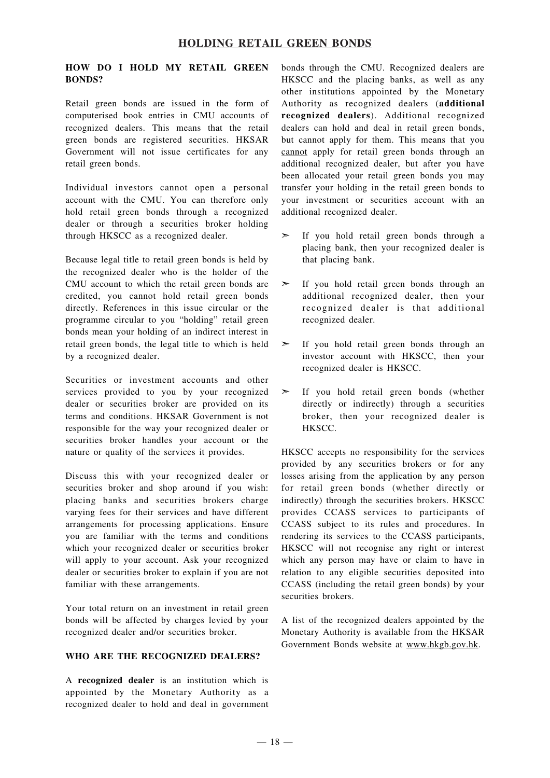## **HOLDING RETAIL GREEN BONDS**

#### **HOW DO I HOLD MY RETAIL GREEN BONDS?**

Retail green bonds are issued in the form of computerised book entries in CMU accounts of recognized dealers. This means that the retail green bonds are registered securities. HKSAR Government will not issue certificates for any retail green bonds.

Individual investors cannot open a personal account with the CMU. You can therefore only hold retail green bonds through a recognized dealer or through a securities broker holding through HKSCC as a recognized dealer.

Because legal title to retail green bonds is held by the recognized dealer who is the holder of the CMU account to which the retail green bonds are credited, you cannot hold retail green bonds directly. References in this issue circular or the programme circular to you "holding" retail green bonds mean your holding of an indirect interest in retail green bonds, the legal title to which is held by a recognized dealer.

Securities or investment accounts and other services provided to you by your recognized dealer or securities broker are provided on its terms and conditions. HKSAR Government is not responsible for the way your recognized dealer or securities broker handles your account or the nature or quality of the services it provides.

Discuss this with your recognized dealer or securities broker and shop around if you wish: placing banks and securities brokers charge varying fees for their services and have different arrangements for processing applications. Ensure you are familiar with the terms and conditions which your recognized dealer or securities broker will apply to your account. Ask your recognized dealer or securities broker to explain if you are not familiar with these arrangements.

Your total return on an investment in retail green bonds will be affected by charges levied by your recognized dealer and/or securities broker.

#### **WHO ARE THE RECOGNIZED DEALERS?**

A **recognized dealer** is an institution which is appointed by the Monetary Authority as a recognized dealer to hold and deal in government

bonds through the CMU. Recognized dealers are HKSCC and the placing banks, as well as any other institutions appointed by the Monetary Authority as recognized dealers (**additional recognized dealers**). Additional recognized dealers can hold and deal in retail green bonds, but cannot apply for them. This means that you cannot apply for retail green bonds through an additional recognized dealer, but after you have been allocated your retail green bonds you may transfer your holding in the retail green bonds to your investment or securities account with an additional recognized dealer.

- ➣ If you hold retail green bonds through a placing bank, then your recognized dealer is that placing bank.
- ➣ If you hold retail green bonds through an additional recognized dealer, then your recognized dealer is that additional recognized dealer.
- ➣ If you hold retail green bonds through an investor account with HKSCC, then your recognized dealer is HKSCC.
- $\geq$  If you hold retail green bonds (whether directly or indirectly) through a securities broker, then your recognized dealer is HKSCC.

HKSCC accepts no responsibility for the services provided by any securities brokers or for any losses arising from the application by any person for retail green bonds (whether directly or indirectly) through the securities brokers. HKSCC provides CCASS services to participants of CCASS subject to its rules and procedures. In rendering its services to the CCASS participants, HKSCC will not recognise any right or interest which any person may have or claim to have in relation to any eligible securities deposited into CCASS (including the retail green bonds) by your securities brokers.

A list of the recognized dealers appointed by the Monetary Authority is available from the HKSAR Government Bonds website at www.hkgb.gov.hk.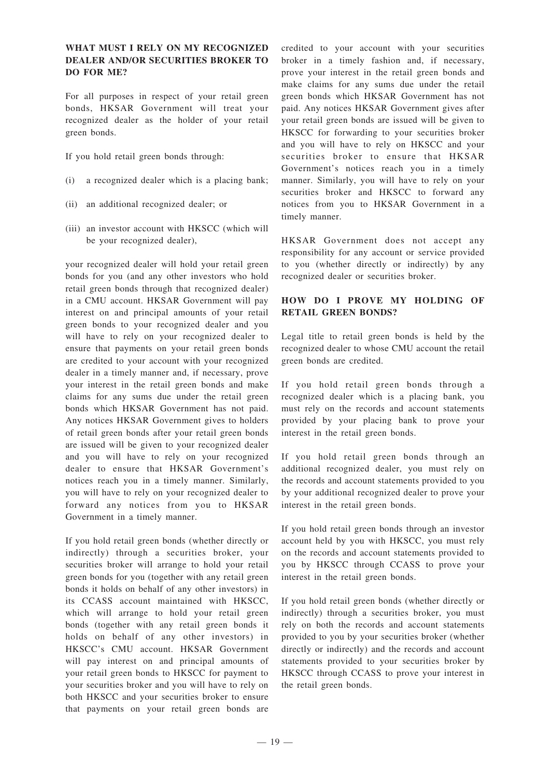#### **WHAT MUST I RELY ON MY RECOGNIZED DEALER AND/OR SECURITIES BROKER TO DO FOR ME?**

For all purposes in respect of your retail green bonds, HKSAR Government will treat your recognized dealer as the holder of your retail green bonds.

- If you hold retail green bonds through:
- (i) a recognized dealer which is a placing bank;
- (ii) an additional recognized dealer; or
- (iii) an investor account with HKSCC (which will be your recognized dealer),

your recognized dealer will hold your retail green bonds for you (and any other investors who hold retail green bonds through that recognized dealer) in a CMU account. HKSAR Government will pay interest on and principal amounts of your retail green bonds to your recognized dealer and you will have to rely on your recognized dealer to ensure that payments on your retail green bonds are credited to your account with your recognized dealer in a timely manner and, if necessary, prove your interest in the retail green bonds and make claims for any sums due under the retail green bonds which HKSAR Government has not paid. Any notices HKSAR Government gives to holders of retail green bonds after your retail green bonds are issued will be given to your recognized dealer and you will have to rely on your recognized dealer to ensure that HKSAR Government's notices reach you in a timely manner. Similarly, you will have to rely on your recognized dealer to forward any notices from you to HKSAR Government in a timely manner.

If you hold retail green bonds (whether directly or indirectly) through a securities broker, your securities broker will arrange to hold your retail green bonds for you (together with any retail green bonds it holds on behalf of any other investors) in its CCASS account maintained with HKSCC, which will arrange to hold your retail green bonds (together with any retail green bonds it holds on behalf of any other investors) in HKSCC's CMU account. HKSAR Government will pay interest on and principal amounts of your retail green bonds to HKSCC for payment to your securities broker and you will have to rely on both HKSCC and your securities broker to ensure that payments on your retail green bonds are

credited to your account with your securities broker in a timely fashion and, if necessary, prove your interest in the retail green bonds and make claims for any sums due under the retail green bonds which HKSAR Government has not paid. Any notices HKSAR Government gives after your retail green bonds are issued will be given to HKSCC for forwarding to your securities broker and you will have to rely on HKSCC and your securities broker to ensure that HKSAR Government's notices reach you in a timely manner. Similarly, you will have to rely on your securities broker and HKSCC to forward any notices from you to HKSAR Government in a timely manner.

HKSAR Government does not accept any responsibility for any account or service provided to you (whether directly or indirectly) by any recognized dealer or securities broker.

## **HOW DO I PROVE MY HOLDING OF RETAIL GREEN BONDS?**

Legal title to retail green bonds is held by the recognized dealer to whose CMU account the retail green bonds are credited.

If you hold retail green bonds through a recognized dealer which is a placing bank, you must rely on the records and account statements provided by your placing bank to prove your interest in the retail green bonds.

If you hold retail green bonds through an additional recognized dealer, you must rely on the records and account statements provided to you by your additional recognized dealer to prove your interest in the retail green bonds.

If you hold retail green bonds through an investor account held by you with HKSCC, you must rely on the records and account statements provided to you by HKSCC through CCASS to prove your interest in the retail green bonds.

If you hold retail green bonds (whether directly or indirectly) through a securities broker, you must rely on both the records and account statements provided to you by your securities broker (whether directly or indirectly) and the records and account statements provided to your securities broker by HKSCC through CCASS to prove your interest in the retail green bonds.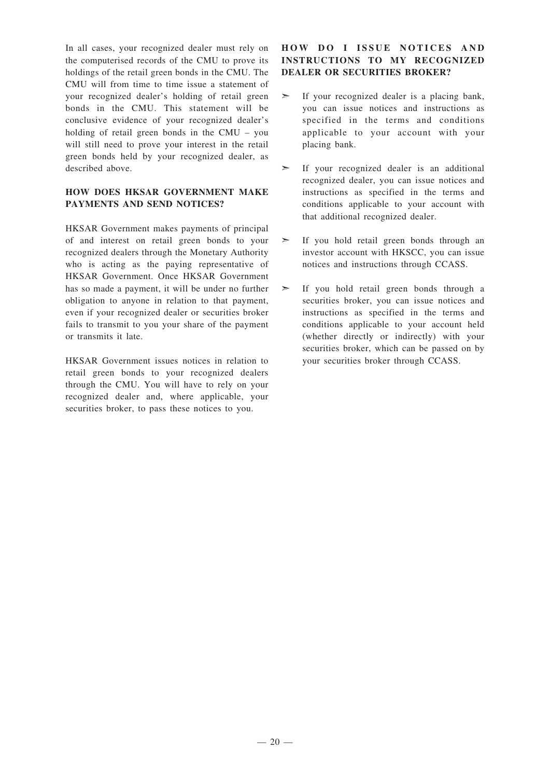In all cases, your recognized dealer must rely on the computerised records of the CMU to prove its holdings of the retail green bonds in the CMU. The CMU will from time to time issue a statement of your recognized dealer's holding of retail green bonds in the CMU. This statement will be conclusive evidence of your recognized dealer's holding of retail green bonds in the CMU – you will still need to prove your interest in the retail green bonds held by your recognized dealer, as described above.

#### **HOW DOES HKSAR GOVERNMENT MAKE PAYMENTS AND SEND NOTICES?**

HKSAR Government makes payments of principal of and interest on retail green bonds to your recognized dealers through the Monetary Authority who is acting as the paying representative of HKSAR Government. Once HKSAR Government has so made a payment, it will be under no further obligation to anyone in relation to that payment, even if your recognized dealer or securities broker fails to transmit to you your share of the payment or transmits it late.

HKSAR Government issues notices in relation to retail green bonds to your recognized dealers through the CMU. You will have to rely on your recognized dealer and, where applicable, your securities broker, to pass these notices to you.

## **HOW D O I ISSUE NOTICES AND INSTRUCTIONS TO MY RECOGNIZED DEALER OR SECURITIES BROKER?**

- ➣ If your recognized dealer is a placing bank, you can issue notices and instructions as specified in the terms and conditions applicable to your account with your placing bank.
- $\geq$  If your recognized dealer is an additional recognized dealer, you can issue notices and instructions as specified in the terms and conditions applicable to your account with that additional recognized dealer.
- ➣ If you hold retail green bonds through an investor account with HKSCC, you can issue notices and instructions through CCASS.
- ➣ If you hold retail green bonds through a securities broker, you can issue notices and instructions as specified in the terms and conditions applicable to your account held (whether directly or indirectly) with your securities broker, which can be passed on by your securities broker through CCASS.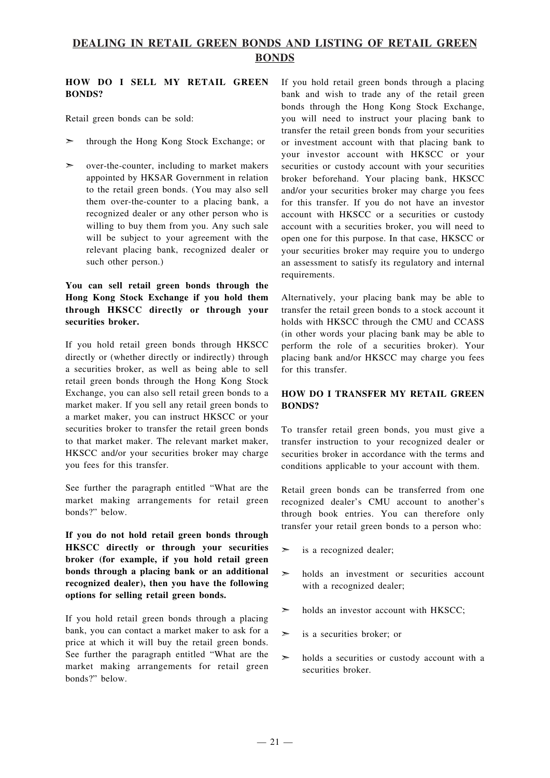## **DEALING IN RETAIL GREEN BONDS AND LISTING OF RETAIL GREEN BONDS**

### **HOW DO I SELL MY RETAIL GREEN BONDS?**

Retail green bonds can be sold:

- ➣ through the Hong Kong Stock Exchange; or
- $\geq$  over-the-counter, including to market makers appointed by HKSAR Government in relation to the retail green bonds. (You may also sell them over-the-counter to a placing bank, a recognized dealer or any other person who is willing to buy them from you. Any such sale will be subject to your agreement with the relevant placing bank, recognized dealer or such other person.)

## **You can sell retail green bonds through the Hong Kong Stock Exchange if you hold them through HKSCC directly or through your securities broker.**

If you hold retail green bonds through HKSCC directly or (whether directly or indirectly) through a securities broker, as well as being able to sell retail green bonds through the Hong Kong Stock Exchange, you can also sell retail green bonds to a market maker. If you sell any retail green bonds to a market maker, you can instruct HKSCC or your securities broker to transfer the retail green bonds to that market maker. The relevant market maker, HKSCC and/or your securities broker may charge you fees for this transfer.

See further the paragraph entitled "What are the market making arrangements for retail green bonds?" below.

**If you do not hold retail green bonds through HKSCC directly or through your securities broker (for example, if you hold retail green bonds through a placing bank or an additional recognized dealer), then you have the following options for selling retail green bonds.**

If you hold retail green bonds through a placing bank, you can contact a market maker to ask for a price at which it will buy the retail green bonds. See further the paragraph entitled "What are the market making arrangements for retail green bonds?" below.

If you hold retail green bonds through a placing bank and wish to trade any of the retail green bonds through the Hong Kong Stock Exchange, you will need to instruct your placing bank to transfer the retail green bonds from your securities or investment account with that placing bank to your investor account with HKSCC or your securities or custody account with your securities broker beforehand. Your placing bank, HKSCC and/or your securities broker may charge you fees for this transfer. If you do not have an investor account with HKSCC or a securities or custody account with a securities broker, you will need to open one for this purpose. In that case, HKSCC or your securities broker may require you to undergo an assessment to satisfy its regulatory and internal requirements.

Alternatively, your placing bank may be able to transfer the retail green bonds to a stock account it holds with HKSCC through the CMU and CCASS (in other words your placing bank may be able to perform the role of a securities broker). Your placing bank and/or HKSCC may charge you fees for this transfer.

## **HOW DO I TRANSFER MY RETAIL GREEN BONDS?**

To transfer retail green bonds, you must give a transfer instruction to your recognized dealer or securities broker in accordance with the terms and conditions applicable to your account with them.

Retail green bonds can be transferred from one recognized dealer's CMU account to another's through book entries. You can therefore only transfer your retail green bonds to a person who:

- $\geq$  is a recognized dealer;
- $\geq$  holds an investment or securities account with a recognized dealer;
- $\geq$  holds an investor account with HKSCC;
- ➣ is a securities broker; or
- $\geq$  holds a securities or custody account with a securities broker.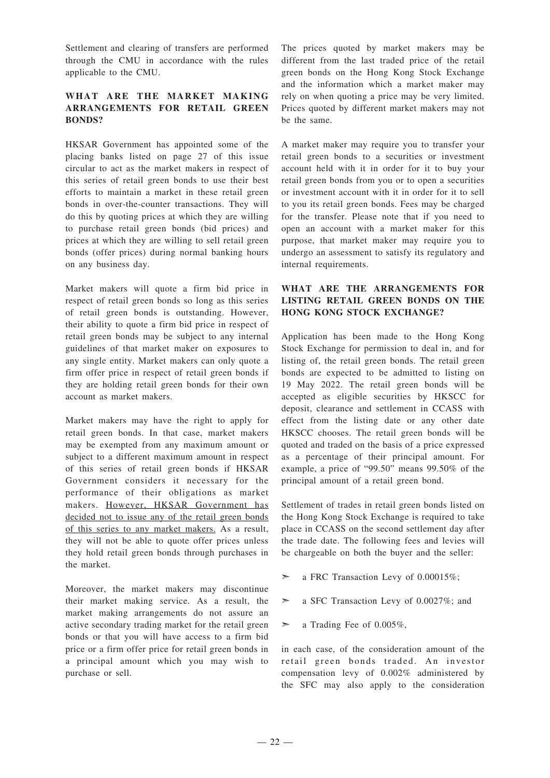Settlement and clearing of transfers are performed through the CMU in accordance with the rules applicable to the CMU.

#### **WHAT ARE THE MARKET MAKING ARRANGEMENTS FOR RETAIL GREEN BONDS?**

HKSAR Government has appointed some of the placing banks listed on page 27 of this issue circular to act as the market makers in respect of this series of retail green bonds to use their best efforts to maintain a market in these retail green bonds in over-the-counter transactions. They will do this by quoting prices at which they are willing to purchase retail green bonds (bid prices) and prices at which they are willing to sell retail green bonds (offer prices) during normal banking hours on any business day.

Market makers will quote a firm bid price in respect of retail green bonds so long as this series of retail green bonds is outstanding. However, their ability to quote a firm bid price in respect of retail green bonds may be subject to any internal guidelines of that market maker on exposures to any single entity. Market makers can only quote a firm offer price in respect of retail green bonds if they are holding retail green bonds for their own account as market makers.

Market makers may have the right to apply for retail green bonds. In that case, market makers may be exempted from any maximum amount or subject to a different maximum amount in respect of this series of retail green bonds if HKSAR Government considers it necessary for the performance of their obligations as market makers. However, HKSAR Government has decided not to issue any of the retail green bonds of this series to any market makers. As a result, they will not be able to quote offer prices unless they hold retail green bonds through purchases in the market.

Moreover, the market makers may discontinue their market making service. As a result, the market making arrangements do not assure an active secondary trading market for the retail green bonds or that you will have access to a firm bid price or a firm offer price for retail green bonds in a principal amount which you may wish to purchase or sell.

The prices quoted by market makers may be different from the last traded price of the retail green bonds on the Hong Kong Stock Exchange and the information which a market maker may rely on when quoting a price may be very limited. Prices quoted by different market makers may not be the same.

A market maker may require you to transfer your retail green bonds to a securities or investment account held with it in order for it to buy your retail green bonds from you or to open a securities or investment account with it in order for it to sell to you its retail green bonds. Fees may be charged for the transfer. Please note that if you need to open an account with a market maker for this purpose, that market maker may require you to undergo an assessment to satisfy its regulatory and internal requirements.

## **WHAT ARE THE ARRANGEMENTS FOR LISTING RETAIL GREEN BONDS ON THE HONG KONG STOCK EXCHANGE?**

Application has been made to the Hong Kong Stock Exchange for permission to deal in, and for listing of, the retail green bonds. The retail green bonds are expected to be admitted to listing on 19 May 2022. The retail green bonds will be accepted as eligible securities by HKSCC for deposit, clearance and settlement in CCASS with effect from the listing date or any other date HKSCC chooses. The retail green bonds will be quoted and traded on the basis of a price expressed as a percentage of their principal amount. For example, a price of "99.50" means 99.50% of the principal amount of a retail green bond.

Settlement of trades in retail green bonds listed on the Hong Kong Stock Exchange is required to take place in CCASS on the second settlement day after the trade date. The following fees and levies will be chargeable on both the buyer and the seller:

- ➣ a FRC Transaction Levy of 0.00015%;
- ➣ a SFC Transaction Levy of 0.0027%; and
- ➣ a Trading Fee of 0.005%,

in each case, of the consideration amount of the retail green bonds traded. An investor compensation levy of 0.002% administered by the SFC may also apply to the consideration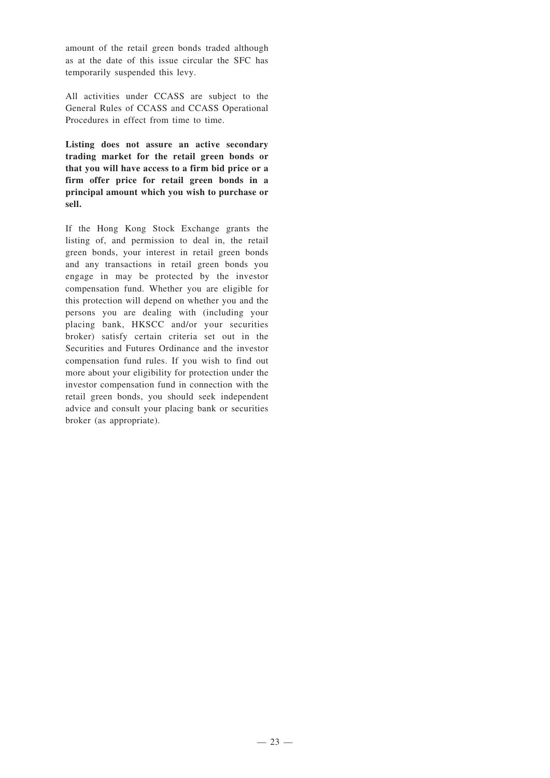amount of the retail green bonds traded although as at the date of this issue circular the SFC has temporarily suspended this levy.

All activities under CCASS are subject to the General Rules of CCASS and CCASS Operational Procedures in effect from time to time.

**Listing does not assure an active secondary trading market for the retail green bonds or that you will have access to a firm bid price or a firm offer price for retail green bonds in a principal amount which you wish to purchase or sell.**

If the Hong Kong Stock Exchange grants the listing of, and permission to deal in, the retail green bonds, your interest in retail green bonds and any transactions in retail green bonds you engage in may be protected by the investor compensation fund. Whether you are eligible for this protection will depend on whether you and the persons you are dealing with (including your placing bank, HKSCC and/or your securities broker) satisfy certain criteria set out in the Securities and Futures Ordinance and the investor compensation fund rules. If you wish to find out more about your eligibility for protection under the investor compensation fund in connection with the retail green bonds, you should seek independent advice and consult your placing bank or securities broker (as appropriate).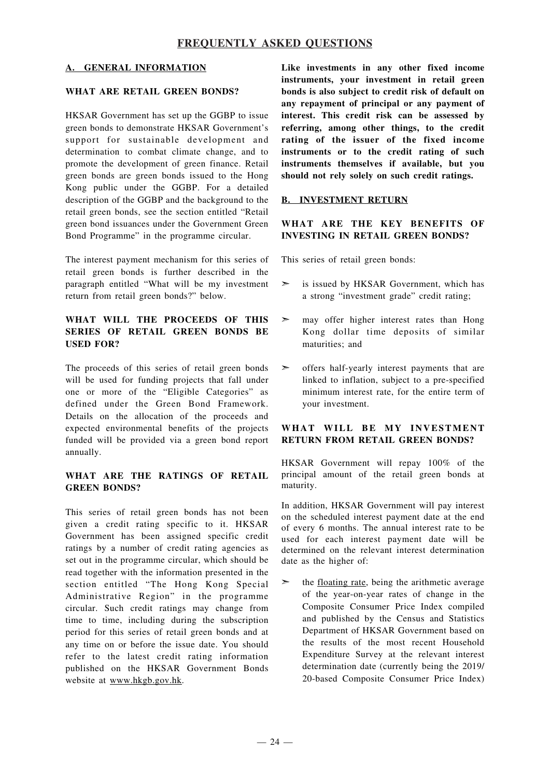## **A. GENERAL INFORMATION**

## **WHAT ARE RETAIL GREEN BONDS?**

HKSAR Government has set up the GGBP to issue green bonds to demonstrate HKSAR Government's support for sustainable development and determination to combat climate change, and to promote the development of green finance. Retail green bonds are green bonds issued to the Hong Kong public under the GGBP. For a detailed description of the GGBP and the background to the retail green bonds, see the section entitled "Retail green bond issuances under the Government Green Bond Programme" in the programme circular.

The interest payment mechanism for this series of retail green bonds is further described in the paragraph entitled "What will be my investment return from retail green bonds?" below.

## **WHAT WILL THE PROCEEDS OF THIS SERIES OF RETAIL GREEN BONDS BE USED FOR?**

The proceeds of this series of retail green bonds will be used for funding projects that fall under one or more of the "Eligible Categories" as defined under the Green Bond Framework. Details on the allocation of the proceeds and expected environmental benefits of the projects funded will be provided via a green bond report annually.

#### **WHAT ARE THE RATINGS OF RETAIL GREEN BONDS?**

This series of retail green bonds has not been given a credit rating specific to it. HKSAR Government has been assigned specific credit ratings by a number of credit rating agencies as set out in the programme circular, which should be read together with the information presented in the section entitled "The Hong Kong Special Administrative Region" in the programme circular. Such credit ratings may change from time to time, including during the subscription period for this series of retail green bonds and at any time on or before the issue date. You should refer to the latest credit rating information published on the HKSAR Government Bonds website at www.hkgb.gov.hk.

**Like investments in any other fixed income instruments, your investment in retail green bonds is also subject to credit risk of default on any repayment of principal or any payment of interest. This credit risk can be assessed by referring, among other things, to the credit rating of the issuer of the fixed income instruments or to the credit rating of such instruments themselves if available, but you should not rely solely on such credit ratings.**

#### **B. INVESTMENT RETURN**

#### **WHAT ARE THE KEY BENEFITS OF INVESTING IN RETAIL GREEN BONDS?**

This series of retail green bonds:

- $\geq$  is issued by HKSAR Government, which has a strong "investment grade" credit rating;
- $\geq$  may offer higher interest rates than Hong Kong dollar time deposits of similar maturities; and
- ➣ offers half-yearly interest payments that are linked to inflation, subject to a pre-specified minimum interest rate, for the entire term of your investment.

#### **WHAT WILL BE MY INVESTMENT RETURN FROM RETAIL GREEN BONDS?**

HKSAR Government will repay 100% of the principal amount of the retail green bonds at maturity.

In addition, HKSAR Government will pay interest on the scheduled interest payment date at the end of every 6 months. The annual interest rate to be used for each interest payment date will be determined on the relevant interest determination date as the higher of:

 $\geq$  the <u>floating rate</u>, being the arithmetic average of the year-on-year rates of change in the Composite Consumer Price Index compiled and published by the Census and Statistics Department of HKSAR Government based on the results of the most recent Household Expenditure Survey at the relevant interest determination date (currently being the 2019/ 20-based Composite Consumer Price Index)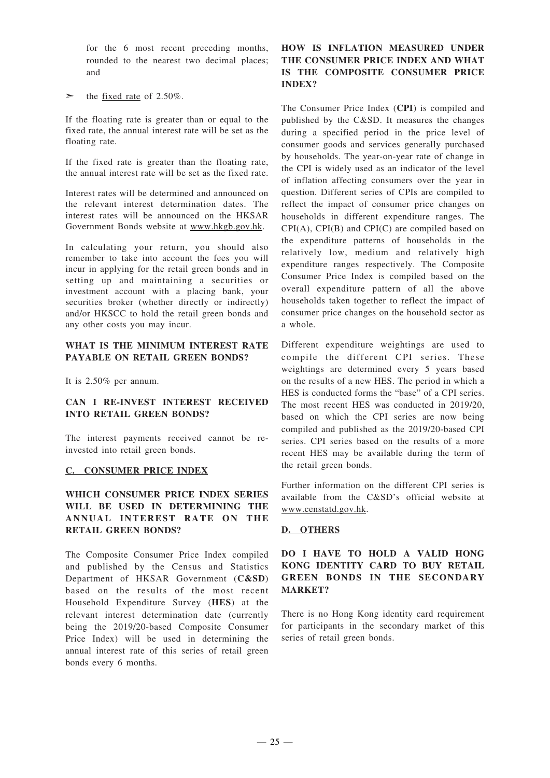for the 6 most recent preceding months, rounded to the nearest two decimal places; and

the fixed rate of 2.50%.

If the floating rate is greater than or equal to the fixed rate, the annual interest rate will be set as the floating rate.

If the fixed rate is greater than the floating rate, the annual interest rate will be set as the fixed rate.

Interest rates will be determined and announced on the relevant interest determination dates. The interest rates will be announced on the HKSAR Government Bonds website at www.hkgb.gov.hk.

In calculating your return, you should also remember to take into account the fees you will incur in applying for the retail green bonds and in setting up and maintaining a securities or investment account with a placing bank, your securities broker (whether directly or indirectly) and/or HKSCC to hold the retail green bonds and any other costs you may incur.

#### **WHAT IS THE MINIMUM INTEREST RATE PAYABLE ON RETAIL GREEN BONDS?**

It is 2.50% per annum.

#### **CAN I RE-INVEST INTEREST RECEIVED INTO RETAIL GREEN BONDS?**

The interest payments received cannot be reinvested into retail green bonds.

#### **C. CONSUMER PRICE INDEX**

## **WHICH CONSUMER PRICE INDEX SERIES WILL BE USED IN DETERMINING THE ANNUAL INTEREST RATE O N THE RETAIL GREEN BONDS?**

The Composite Consumer Price Index compiled and published by the Census and Statistics Department of HKSAR Government (**C&SD**) based on the results of the most recent Household Expenditure Survey (**HES**) at the relevant interest determination date (currently being the 2019/20-based Composite Consumer Price Index) will be used in determining the annual interest rate of this series of retail green bonds every 6 months.

## **HOW IS INFLATION MEASURED UNDER THE CONSUMER PRICE INDEX AND WHAT IS THE COMPOSITE CONSUMER PRICE INDEX?**

The Consumer Price Index (**CPI**) is compiled and published by the C&SD. It measures the changes during a specified period in the price level of consumer goods and services generally purchased by households. The year-on-year rate of change in the CPI is widely used as an indicator of the level of inflation affecting consumers over the year in question. Different series of CPIs are compiled to reflect the impact of consumer price changes on households in different expenditure ranges. The CPI(A), CPI(B) and CPI(C) are compiled based on the expenditure patterns of households in the relatively low, medium and relatively high expenditure ranges respectively. The Composite Consumer Price Index is compiled based on the overall expenditure pattern of all the above households taken together to reflect the impact of consumer price changes on the household sector as a whole.

Different expenditure weightings are used to compile the different CPI series. These weightings are determined every 5 years based on the results of a new HES. The period in which a HES is conducted forms the "base" of a CPI series. The most recent HES was conducted in 2019/20, based on which the CPI series are now being compiled and published as the 2019/20-based CPI series. CPI series based on the results of a more recent HES may be available during the term of the retail green bonds.

Further information on the different CPI series is available from the C&SD's official website at www.censtatd.gov.hk.

#### **D. OTHERS**

## **DO I HAVE TO HOLD A VALID HONG KONG IDENTITY CARD TO BUY RETAIL GREEN BONDS IN THE SECONDARY MARKET?**

There is no Hong Kong identity card requirement for participants in the secondary market of this series of retail green bonds.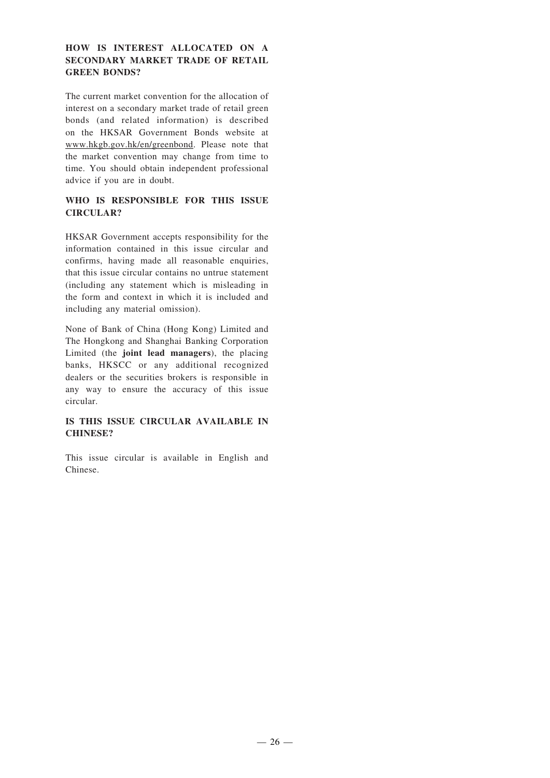### **HOW IS INTEREST ALLOCATED ON A SECONDARY MARKET TRADE OF RETAIL GREEN BONDS?**

The current market convention for the allocation of interest on a secondary market trade of retail green bonds (and related information) is described on the HKSAR Government Bonds website at www.hkgb.gov.hk/en/greenbond. Please note that the market convention may change from time to time. You should obtain independent professional advice if you are in doubt.

### **WHO IS RESPONSIBLE FOR THIS ISSUE CIRCULAR?**

HKSAR Government accepts responsibility for the information contained in this issue circular and confirms, having made all reasonable enquiries, that this issue circular contains no untrue statement (including any statement which is misleading in the form and context in which it is included and including any material omission).

None of Bank of China (Hong Kong) Limited and The Hongkong and Shanghai Banking Corporation Limited (the **joint lead managers**), the placing banks, HKSCC or any additional recognized dealers or the securities brokers is responsible in any way to ensure the accuracy of this issue circular.

### **IS THIS ISSUE CIRCULAR AVAILABLE IN CHINESE?**

This issue circular is available in English and Chinese.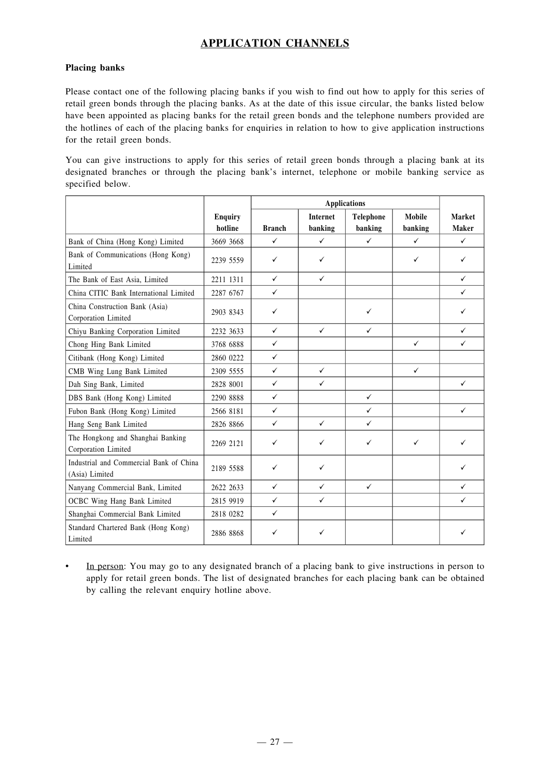## **APPLICATION CHANNELS**

### **Placing banks**

Please contact one of the following placing banks if you wish to find out how to apply for this series of retail green bonds through the placing banks. As at the date of this issue circular, the banks listed below have been appointed as placing banks for the retail green bonds and the telephone numbers provided are the hotlines of each of the placing banks for enquiries in relation to how to give application instructions for the retail green bonds.

You can give instructions to apply for this series of retail green bonds through a placing bank at its designated branches or through the placing bank's internet, telephone or mobile banking service as specified below.

|                                                           |                           | <b>Applications</b> |                            |                      |                   |                        |
|-----------------------------------------------------------|---------------------------|---------------------|----------------------------|----------------------|-------------------|------------------------|
|                                                           | <b>Enquiry</b><br>hotline | <b>Branch</b>       | <b>Internet</b><br>banking | Telephone<br>banking | Mobile<br>banking | Market<br><b>Maker</b> |
| Bank of China (Hong Kong) Limited                         | 3669 3668                 | $\checkmark$        | $\checkmark$               | $\checkmark$         | $\checkmark$      | $\checkmark$           |
| Bank of Communications (Hong Kong)<br>Limited             | 2239 5559                 | ✓                   | ✓                          |                      | $\checkmark$      | ✓                      |
| The Bank of East Asia, Limited                            | 2211 1311                 | $\checkmark$        | $\checkmark$               |                      |                   | $\checkmark$           |
| China CITIC Bank International Limited                    | 2287 6767                 | $\checkmark$        |                            |                      |                   | $\checkmark$           |
| China Construction Bank (Asia)<br>Corporation Limited     | 2903 8343                 | ✓                   |                            | $\checkmark$         |                   | ✓                      |
| Chiyu Banking Corporation Limited                         | 2232 3633                 | $\checkmark$        | $\checkmark$               | $\checkmark$         |                   | $\checkmark$           |
| Chong Hing Bank Limited                                   | 3768 6888                 | $\checkmark$        |                            |                      | $\checkmark$      | $\checkmark$           |
| Citibank (Hong Kong) Limited                              | 2860 0222                 | $\checkmark$        |                            |                      |                   |                        |
| CMB Wing Lung Bank Limited                                | 2309 5555                 | $\checkmark$        | $\checkmark$               |                      | $\checkmark$      |                        |
| Dah Sing Bank, Limited                                    | 2828 8001                 | $\checkmark$        | ✓                          |                      |                   | $\checkmark$           |
| DBS Bank (Hong Kong) Limited                              | 2290 8888                 | $\checkmark$        |                            | $\checkmark$         |                   |                        |
| Fubon Bank (Hong Kong) Limited                            | 2566 8181                 | $\checkmark$        |                            | $\checkmark$         |                   | $\checkmark$           |
| Hang Seng Bank Limited                                    | 2826 8866                 | $\checkmark$        | ✓                          | $\checkmark$         |                   |                        |
| The Hongkong and Shanghai Banking<br>Corporation Limited  | 2269 2121                 | ✓                   | ✓                          | $\checkmark$         | $\checkmark$      | $\checkmark$           |
| Industrial and Commercial Bank of China<br>(Asia) Limited | 2189 5588                 | $\checkmark$        | ✓                          |                      |                   | ✓                      |
| Nanyang Commercial Bank, Limited                          | 2622 2633                 | $\checkmark$        | ✓                          | $\checkmark$         |                   | $\checkmark$           |
| OCBC Wing Hang Bank Limited                               | 2815 9919                 | $\checkmark$        | $\checkmark$               |                      |                   | $\checkmark$           |
| Shanghai Commercial Bank Limited                          | 2818 0282                 | $\checkmark$        |                            |                      |                   |                        |
| Standard Chartered Bank (Hong Kong)<br>Limited            | 2886 8868                 | ✓                   |                            |                      |                   |                        |

• In person: You may go to any designated branch of a placing bank to give instructions in person to apply for retail green bonds. The list of designated branches for each placing bank can be obtained by calling the relevant enquiry hotline above.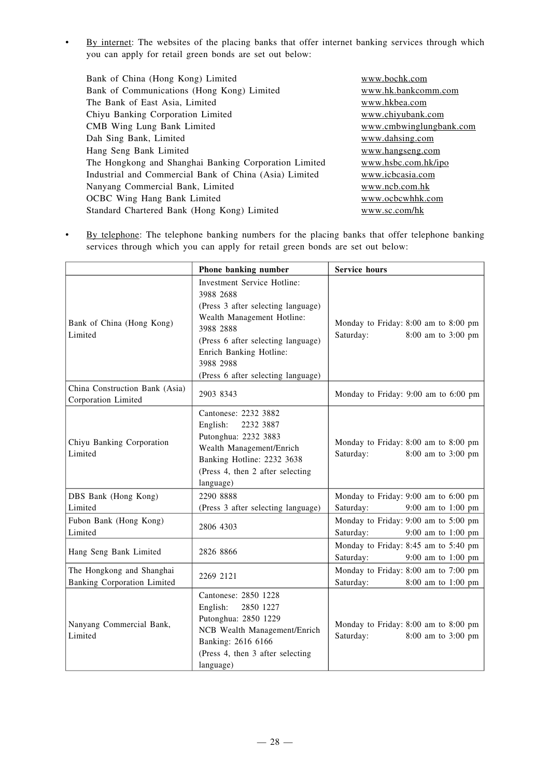• By internet: The websites of the placing banks that offer internet banking services through which you can apply for retail green bonds are set out below:

| Bank of China (Hong Kong) Limited                      | www.bochk.com           |
|--------------------------------------------------------|-------------------------|
| Bank of Communications (Hong Kong) Limited             | www.hk.bankcomm.com     |
| The Bank of East Asia, Limited                         | www.hkbea.com           |
| Chiyu Banking Corporation Limited                      | www.chiyubank.com       |
| CMB Wing Lung Bank Limited                             | www.cmbwinglungbank.com |
| Dah Sing Bank, Limited                                 | www.dahsing.com         |
| Hang Seng Bank Limited                                 | www.hangseng.com        |
| The Hongkong and Shanghai Banking Corporation Limited  | www.hsbc.com.hk/ipo     |
| Industrial and Commercial Bank of China (Asia) Limited | www.icbcasia.com        |
| Nanyang Commercial Bank, Limited                       | www.ncb.com.hk          |
| <b>OCBC</b> Wing Hang Bank Limited                     | www.ocbcwhhk.com        |
| Standard Chartered Bank (Hong Kong) Limited            | www.sc.com/hk           |
|                                                        |                         |

• By telephone: The telephone banking numbers for the placing banks that offer telephone banking services through which you can apply for retail green bonds are set out below:

|                                                                 | Phone banking number                                                                                                                                                                                                                          | <b>Service hours</b>                                                    |
|-----------------------------------------------------------------|-----------------------------------------------------------------------------------------------------------------------------------------------------------------------------------------------------------------------------------------------|-------------------------------------------------------------------------|
| Bank of China (Hong Kong)<br>Limited                            | Investment Service Hotline:<br>3988 2688<br>(Press 3 after selecting language)<br>Wealth Management Hotline:<br>3988 2888<br>(Press 6 after selecting language)<br>Enrich Banking Hotline:<br>3988 2988<br>(Press 6 after selecting language) | Monday to Friday: 8:00 am to 8:00 pm<br>Saturday:<br>8:00 am to 3:00 pm |
| China Construction Bank (Asia)<br>Corporation Limited           | 2903 8343                                                                                                                                                                                                                                     | Monday to Friday: 9:00 am to 6:00 pm                                    |
| Chiyu Banking Corporation<br>Limited                            | Cantonese: 2232 3882<br>English:<br>2232 3887<br>Putonghua: 2232 3883<br>Wealth Management/Enrich<br>Banking Hotline: 2232 3638<br>(Press 4, then 2 after selecting<br>language)                                                              | Monday to Friday: 8:00 am to 8:00 pm<br>Saturday:<br>8:00 am to 3:00 pm |
| DBS Bank (Hong Kong)                                            | 2290 8888                                                                                                                                                                                                                                     | Monday to Friday: 9:00 am to 6:00 pm                                    |
| Limited                                                         | (Press 3 after selecting language)                                                                                                                                                                                                            | Saturday:<br>9:00 am to 1:00 pm                                         |
| Fubon Bank (Hong Kong)<br>Limited                               | 2806 4303                                                                                                                                                                                                                                     | Monday to Friday: 9:00 am to 5:00 pm<br>Saturday:<br>9:00 am to 1:00 pm |
| Hang Seng Bank Limited                                          | 2826 8866                                                                                                                                                                                                                                     | Monday to Friday: 8:45 am to 5:40 pm<br>Saturday:<br>9:00 am to 1:00 pm |
| The Hongkong and Shanghai<br><b>Banking Corporation Limited</b> | 2269 2121                                                                                                                                                                                                                                     | Monday to Friday: 8:00 am to 7:00 pm<br>Saturday:<br>8:00 am to 1:00 pm |
| Nanyang Commercial Bank,<br>Limited                             | Cantonese: 2850 1228<br>English:<br>2850 1227<br>Putonghua: 2850 1229<br>NCB Wealth Management/Enrich<br>Banking: 2616 6166<br>(Press 4, then 3 after selecting<br>language)                                                                  | Monday to Friday: 8:00 am to 8:00 pm<br>Saturday:<br>8:00 am to 3:00 pm |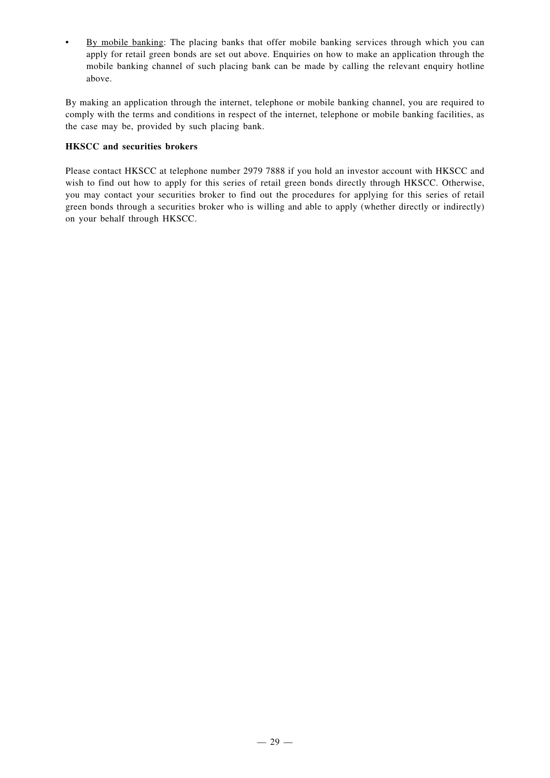• By mobile banking: The placing banks that offer mobile banking services through which you can apply for retail green bonds are set out above. Enquiries on how to make an application through the mobile banking channel of such placing bank can be made by calling the relevant enquiry hotline above.

By making an application through the internet, telephone or mobile banking channel, you are required to comply with the terms and conditions in respect of the internet, telephone or mobile banking facilities, as the case may be, provided by such placing bank.

### **HKSCC and securities brokers**

Please contact HKSCC at telephone number 2979 7888 if you hold an investor account with HKSCC and wish to find out how to apply for this series of retail green bonds directly through HKSCC. Otherwise, you may contact your securities broker to find out the procedures for applying for this series of retail green bonds through a securities broker who is willing and able to apply (whether directly or indirectly) on your behalf through HKSCC.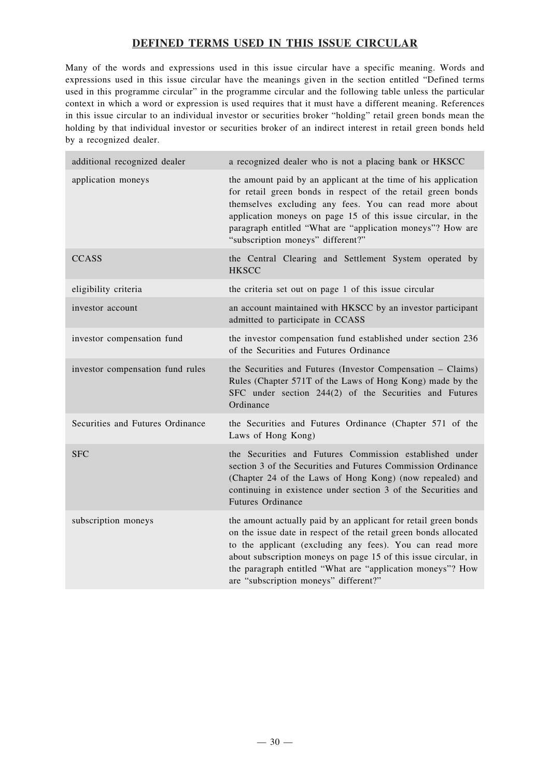## **DEFINED TERMS USED IN THIS ISSUE CIRCULAR**

Many of the words and expressions used in this issue circular have a specific meaning. Words and expressions used in this issue circular have the meanings given in the section entitled "Defined terms used in this programme circular" in the programme circular and the following table unless the particular context in which a word or expression is used requires that it must have a different meaning. References in this issue circular to an individual investor or securities broker "holding" retail green bonds mean the holding by that individual investor or securities broker of an indirect interest in retail green bonds held by a recognized dealer.

| additional recognized dealer     | a recognized dealer who is not a placing bank or HKSCC                                                                                                                                                                                                                                                                                                                    |
|----------------------------------|---------------------------------------------------------------------------------------------------------------------------------------------------------------------------------------------------------------------------------------------------------------------------------------------------------------------------------------------------------------------------|
| application moneys               | the amount paid by an applicant at the time of his application<br>for retail green bonds in respect of the retail green bonds<br>themselves excluding any fees. You can read more about<br>application moneys on page 15 of this issue circular, in the<br>paragraph entitled "What are "application moneys"? How are<br>"subscription moneys" different?"                |
| <b>CCASS</b>                     | the Central Clearing and Settlement System operated by<br><b>HKSCC</b>                                                                                                                                                                                                                                                                                                    |
| eligibility criteria             | the criteria set out on page 1 of this issue circular                                                                                                                                                                                                                                                                                                                     |
| investor account                 | an account maintained with HKSCC by an investor participant<br>admitted to participate in CCASS                                                                                                                                                                                                                                                                           |
| investor compensation fund       | the investor compensation fund established under section 236<br>of the Securities and Futures Ordinance                                                                                                                                                                                                                                                                   |
| investor compensation fund rules | the Securities and Futures (Investor Compensation - Claims)<br>Rules (Chapter 571T of the Laws of Hong Kong) made by the<br>SFC under section 244(2) of the Securities and Futures<br>Ordinance                                                                                                                                                                           |
| Securities and Futures Ordinance | the Securities and Futures Ordinance (Chapter 571 of the<br>Laws of Hong Kong)                                                                                                                                                                                                                                                                                            |
| <b>SFC</b>                       | the Securities and Futures Commission established under<br>section 3 of the Securities and Futures Commission Ordinance<br>(Chapter 24 of the Laws of Hong Kong) (now repealed) and<br>continuing in existence under section 3 of the Securities and<br>Futures Ordinance                                                                                                 |
| subscription moneys              | the amount actually paid by an applicant for retail green bonds<br>on the issue date in respect of the retail green bonds allocated<br>to the applicant (excluding any fees). You can read more<br>about subscription moneys on page 15 of this issue circular, in<br>the paragraph entitled "What are "application moneys"? How<br>are "subscription moneys" different?" |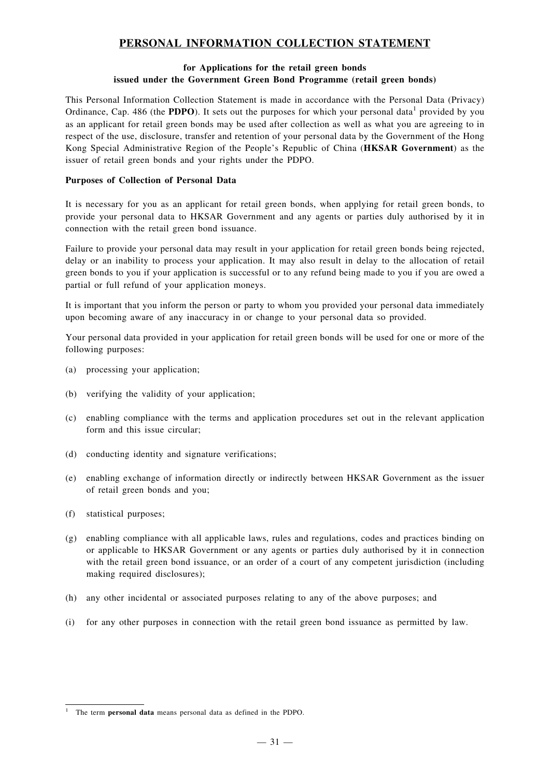## **PERSONAL INFORMATION COLLECTION STATEMENT**

#### **for Applications for the retail green bonds issued under the Government Green Bond Programme (retail green bonds)**

This Personal Information Collection Statement is made in accordance with the Personal Data (Privacy) Ordinance, Cap. 486 (the **PDPO**). It sets out the purposes for which your personal data<sup>1</sup> provided by you as an applicant for retail green bonds may be used after collection as well as what you are agreeing to in respect of the use, disclosure, transfer and retention of your personal data by the Government of the Hong Kong Special Administrative Region of the People's Republic of China (**HKSAR Government**) as the issuer of retail green bonds and your rights under the PDPO.

#### **Purposes of Collection of Personal Data**

It is necessary for you as an applicant for retail green bonds, when applying for retail green bonds, to provide your personal data to HKSAR Government and any agents or parties duly authorised by it in connection with the retail green bond issuance.

Failure to provide your personal data may result in your application for retail green bonds being rejected, delay or an inability to process your application. It may also result in delay to the allocation of retail green bonds to you if your application is successful or to any refund being made to you if you are owed a partial or full refund of your application moneys.

It is important that you inform the person or party to whom you provided your personal data immediately upon becoming aware of any inaccuracy in or change to your personal data so provided.

Your personal data provided in your application for retail green bonds will be used for one or more of the following purposes:

- (a) processing your application;
- (b) verifying the validity of your application;
- (c) enabling compliance with the terms and application procedures set out in the relevant application form and this issue circular;
- (d) conducting identity and signature verifications;
- (e) enabling exchange of information directly or indirectly between HKSAR Government as the issuer of retail green bonds and you;
- (f) statistical purposes;
- (g) enabling compliance with all applicable laws, rules and regulations, codes and practices binding on or applicable to HKSAR Government or any agents or parties duly authorised by it in connection with the retail green bond issuance, or an order of a court of any competent jurisdiction (including making required disclosures);
- (h) any other incidental or associated purposes relating to any of the above purposes; and
- (i) for any other purposes in connection with the retail green bond issuance as permitted by law.

<sup>1</sup> The term **personal data** means personal data as defined in the PDPO.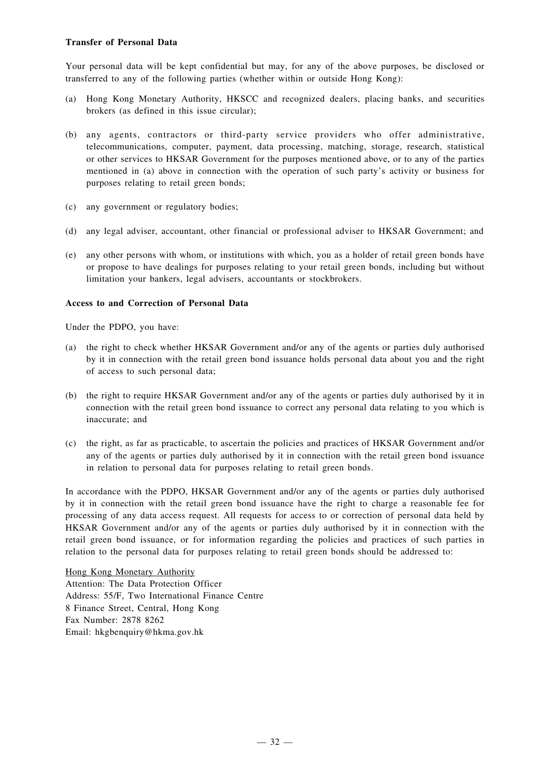#### **Transfer of Personal Data**

Your personal data will be kept confidential but may, for any of the above purposes, be disclosed or transferred to any of the following parties (whether within or outside Hong Kong):

- (a) Hong Kong Monetary Authority, HKSCC and recognized dealers, placing banks, and securities brokers (as defined in this issue circular);
- (b) any agents, contractors or third-party service providers who offer administrative, telecommunications, computer, payment, data processing, matching, storage, research, statistical or other services to HKSAR Government for the purposes mentioned above, or to any of the parties mentioned in (a) above in connection with the operation of such party's activity or business for purposes relating to retail green bonds;
- (c) any government or regulatory bodies;
- (d) any legal adviser, accountant, other financial or professional adviser to HKSAR Government; and
- (e) any other persons with whom, or institutions with which, you as a holder of retail green bonds have or propose to have dealings for purposes relating to your retail green bonds, including but without limitation your bankers, legal advisers, accountants or stockbrokers.

#### **Access to and Correction of Personal Data**

Under the PDPO, you have:

- (a) the right to check whether HKSAR Government and/or any of the agents or parties duly authorised by it in connection with the retail green bond issuance holds personal data about you and the right of access to such personal data;
- (b) the right to require HKSAR Government and/or any of the agents or parties duly authorised by it in connection with the retail green bond issuance to correct any personal data relating to you which is inaccurate; and
- (c) the right, as far as practicable, to ascertain the policies and practices of HKSAR Government and/or any of the agents or parties duly authorised by it in connection with the retail green bond issuance in relation to personal data for purposes relating to retail green bonds.

In accordance with the PDPO, HKSAR Government and/or any of the agents or parties duly authorised by it in connection with the retail green bond issuance have the right to charge a reasonable fee for processing of any data access request. All requests for access to or correction of personal data held by HKSAR Government and/or any of the agents or parties duly authorised by it in connection with the retail green bond issuance, or for information regarding the policies and practices of such parties in relation to the personal data for purposes relating to retail green bonds should be addressed to:

Hong Kong Monetary Authority Attention: The Data Protection Officer Address: 55/F, Two International Finance Centre 8 Finance Street, Central, Hong Kong Fax Number: 2878 8262 Email: hkgbenquiry@hkma.gov.hk